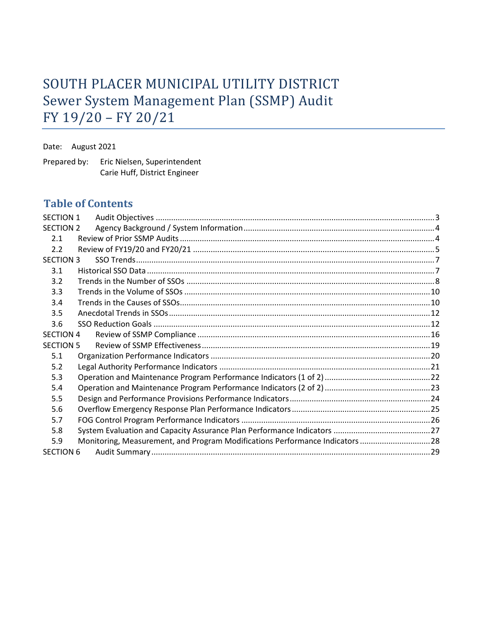# SOUTH PLACER MUNICIPAL UTILITY DISTRICT Sewer System Management Plan (SSMP) Audit FY 19/20 – FY 20/21

Date: August 2021

Prepared by: Eric Nielsen, Superintendent Carie Huff, District Engineer

## **Table of Contents**

| <b>SECTION 1</b>                                                                    |  |
|-------------------------------------------------------------------------------------|--|
| <b>SECTION 2</b>                                                                    |  |
| 2.1                                                                                 |  |
| 2.2                                                                                 |  |
| <b>SECTION 3</b>                                                                    |  |
| 3.1                                                                                 |  |
| 3.2                                                                                 |  |
| 3.3                                                                                 |  |
| 3.4                                                                                 |  |
| 3.5                                                                                 |  |
| 3.6                                                                                 |  |
| <b>SECTION 4</b>                                                                    |  |
| <b>SECTION 5</b>                                                                    |  |
| 5.1                                                                                 |  |
| 5.2                                                                                 |  |
| 5.3                                                                                 |  |
| 5.4                                                                                 |  |
| 5.5                                                                                 |  |
| 5.6                                                                                 |  |
| 5.7                                                                                 |  |
| 5.8                                                                                 |  |
| Monitoring, Measurement, and Program Modifications Performance Indicators 28<br>5.9 |  |
| <b>SECTION 6</b>                                                                    |  |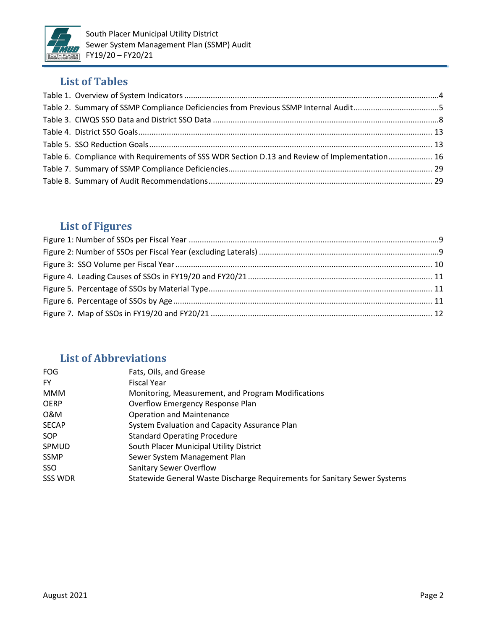

## **List of Tables**

| Table 2. Summary of SSMP Compliance Deficiencies from Previous SSMP Internal Audit5           |  |
|-----------------------------------------------------------------------------------------------|--|
|                                                                                               |  |
|                                                                                               |  |
|                                                                                               |  |
| Table 6. Compliance with Requirements of SSS WDR Section D.13 and Review of Implementation 16 |  |
|                                                                                               |  |
|                                                                                               |  |

## **List of Figures**

## **List of Abbreviations**

| Fats, Oils, and Grease                                                    |
|---------------------------------------------------------------------------|
| <b>Fiscal Year</b>                                                        |
| Monitoring, Measurement, and Program Modifications                        |
| Overflow Emergency Response Plan                                          |
| <b>Operation and Maintenance</b>                                          |
| System Evaluation and Capacity Assurance Plan                             |
| <b>Standard Operating Procedure</b>                                       |
| South Placer Municipal Utility District                                   |
| Sewer System Management Plan                                              |
| <b>Sanitary Sewer Overflow</b>                                            |
| Statewide General Waste Discharge Requirements for Sanitary Sewer Systems |
|                                                                           |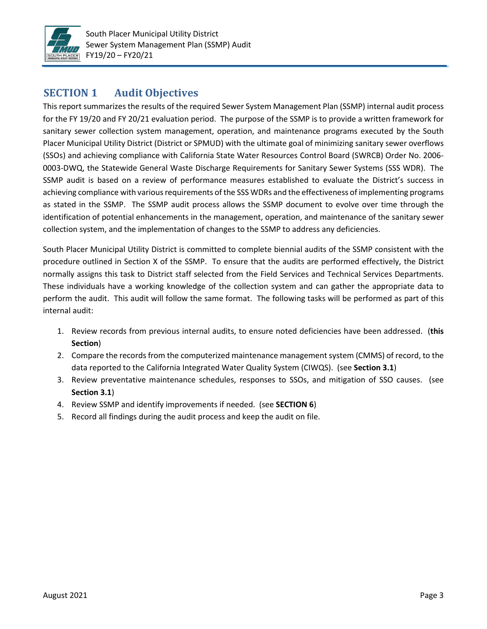

## **SECTION 1 Audit Objectives**

This report summarizes the results of the required Sewer System Management Plan (SSMP) internal audit process for the FY 19/20 and FY 20/21 evaluation period. The purpose of the SSMP is to provide a written framework for sanitary sewer collection system management, operation, and maintenance programs executed by the South Placer Municipal Utility District (District or SPMUD) with the ultimate goal of minimizing sanitary sewer overflows (SSOs) and achieving compliance with California State Water Resources Control Board (SWRCB) Order No. 2006‐ 0003-DWQ, the Statewide General Waste Discharge Requirements for Sanitary Sewer Systems (SSS WDR). The SSMP audit is based on a review of performance measures established to evaluate the District's success in achieving compliance with various requirements of the SSS WDRs and the effectiveness of implementing programs as stated in the SSMP. The SSMP audit process allows the SSMP document to evolve over time through the identification of potential enhancements in the management, operation, and maintenance of the sanitary sewer collection system, and the implementation of changes to the SSMP to address any deficiencies.

South Placer Municipal Utility District is committed to complete biennial audits of the SSMP consistent with the procedure outlined in Section X of the SSMP. To ensure that the audits are performed effectively, the District normally assigns this task to District staff selected from the Field Services and Technical Services Departments. These individuals have a working knowledge of the collection system and can gather the appropriate data to perform the audit. This audit will follow the same format. The following tasks will be performed as part of this internal audit:

- 1. Review records from previous internal audits, to ensure noted deficiencies have been addressed. (**this Section**)
- 2. Compare the records from the computerized maintenance management system (CMMS) of record, to the data reported to the California Integrated Water Quality System (CIWQS). (see **Section 3.1**)
- 3. Review preventative maintenance schedules, responses to SSOs, and mitigation of SSO causes. (see **Section 3.1**)
- 4. Review SSMP and identify improvements if needed. (see **SECTION 6**)
- 5. Record all findings during the audit process and keep the audit on file.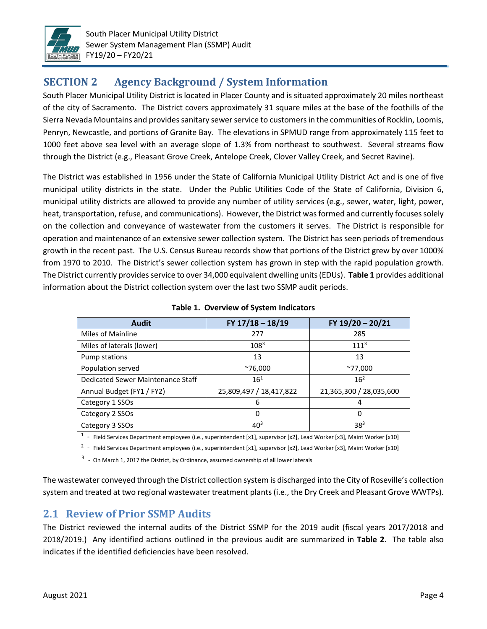

## **SECTION 2 Agency Background / System Information**

South Placer Municipal Utility District is located in Placer County and is situated approximately 20 miles northeast of the city of Sacramento. The District covers approximately 31 square miles at the base of the foothills of the Sierra Nevada Mountains and provides sanitary sewer service to customers in the communities of Rocklin, Loomis, Penryn, Newcastle, and portions of Granite Bay. The elevations in SPMUD range from approximately 115 feet to 1000 feet above sea level with an average slope of 1.3% from northeast to southwest. Several streams flow through the District (e.g., Pleasant Grove Creek, Antelope Creek, Clover Valley Creek, and Secret Ravine).

The District was established in 1956 under the State of California Municipal Utility District Act and is one of five municipal utility districts in the state. Under the Public Utilities Code of the State of California, Division 6, municipal utility districts are allowed to provide any number of utility services (e.g., sewer, water, light, power, heat, transportation, refuse, and communications). However, the District was formed and currently focuses solely on the collection and conveyance of wastewater from the customers it serves. The District is responsible for operation and maintenance of an extensive sewer collection system. The District has seen periods of tremendous growth in the recent past. The U.S. Census Bureau records show that portions of the District grew by over 1000% from 1970 to 2010. The District's sewer collection system has grown in step with the rapid population growth. The District currently provides service to over 34,000 equivalent dwelling units (EDUs). **Table 1** provides additional information about the District collection system over the last two SSMP audit periods.

| <b>Audit</b>                      | FY 17/18 - 18/19        | FY 19/20 - 20/21        |
|-----------------------------------|-------------------------|-------------------------|
| Miles of Mainline                 | 277                     | 285                     |
| Miles of laterals (lower)         | $108^{3}$               | 111 <sup>3</sup>        |
| Pump stations                     | 13                      | 13                      |
| Population served                 | $^{\sim}76,000$         | $^{\sim}77,000$         |
| Dedicated Sewer Maintenance Staff | $16^{1}$                | 16 <sup>2</sup>         |
| Annual Budget (FY1 / FY2)         | 25,809,497 / 18,417,822 | 21,365,300 / 28,035,600 |
| Category 1 SSOs                   | 6                       | 4                       |
| Category 2 SSOs                   | 0                       | 0                       |
| Category 3 SSOs                   | $40^{3}$                | 38 <sup>3</sup>         |

#### **Table 1. Overview of System Indicators**

<sup>1</sup> - Field Services Department employees (i.e., superintendent [x1], supervisor [x2], Lead Worker [x3], Maint Worker [x10]

 $^2$  - Field Services Department employees (i.e., superintendent [x1], supervisor [x2], Lead Worker [x3], Maint Worker [x10]

 $3 -$  On March 1, 2017 the District, by Ordinance, assumed ownership of all lower laterals

The wastewater conveyed through the District collection system is discharged into the City of Roseville's collection system and treated at two regional wastewater treatment plants (i.e., the Dry Creek and Pleasant Grove WWTPs).

### **2.1 Review of Prior SSMP Audits**

The District reviewed the internal audits of the District SSMP for the 2019 audit (fiscal years 2017/2018 and 2018/2019.) Any identified actions outlined in the previous audit are summarized in **Table 2**. The table also indicates if the identified deficiencies have been resolved.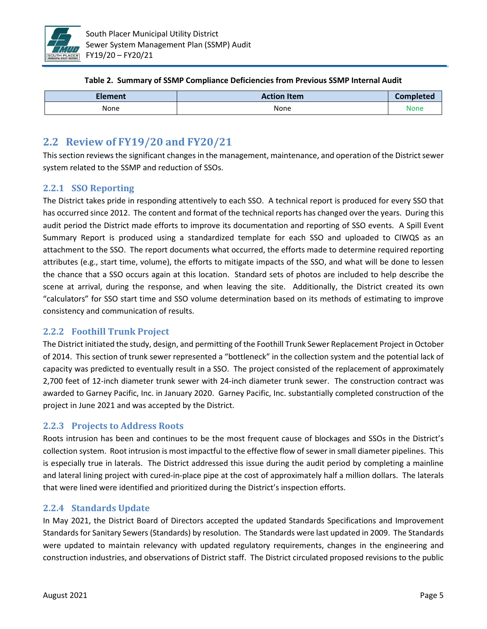

| Table 2. Summary of SSMP Compliance Deficiencies from Previous SSMP Internal Audit |  |
|------------------------------------------------------------------------------------|--|
|------------------------------------------------------------------------------------|--|

| Element | <b>Action Item</b><br>Completed |      |
|---------|---------------------------------|------|
| None    | None                            | None |

## **2.2 Review of FY19/20 and FY20/21**

This section reviews the significant changes in the management, maintenance, and operation of the District sewer system related to the SSMP and reduction of SSOs.

### **2.2.1 SSO Reporting**

The District takes pride in responding attentively to each SSO. A technical report is produced for every SSO that has occurred since 2012. The content and format of the technical reports has changed over the years. During this audit period the District made efforts to improve its documentation and reporting of SSO events. A Spill Event Summary Report is produced using a standardized template for each SSO and uploaded to CIWQS as an attachment to the SSO. The report documents what occurred, the efforts made to determine required reporting attributes (e.g., start time, volume), the efforts to mitigate impacts of the SSO, and what will be done to lessen the chance that a SSO occurs again at this location. Standard sets of photos are included to help describe the scene at arrival, during the response, and when leaving the site. Additionally, the District created its own "calculators" for SSO start time and SSO volume determination based on its methods of estimating to improve consistency and communication of results.

### **2.2.2 Foothill Trunk Project**

The District initiated the study, design, and permitting of the Foothill Trunk Sewer Replacement Project in October of 2014. This section of trunk sewer represented a "bottleneck" in the collection system and the potential lack of capacity was predicted to eventually result in a SSO. The project consisted of the replacement of approximately 2,700 feet of 12-inch diameter trunk sewer with 24-inch diameter trunk sewer. The construction contract was awarded to Garney Pacific, Inc. in January 2020. Garney Pacific, Inc. substantially completed construction of the project in June 2021 and was accepted by the District.

### **2.2.3 Projects to Address Roots**

Roots intrusion has been and continues to be the most frequent cause of blockages and SSOs in the District's collection system. Root intrusion is most impactful to the effective flow of sewer in small diameter pipelines. This is especially true in laterals. The District addressed this issue during the audit period by completing a mainline and lateral lining project with cured-in-place pipe at the cost of approximately half a million dollars. The laterals that were lined were identified and prioritized during the District's inspection efforts.

### **2.2.4 Standards Update**

In May 2021, the District Board of Directors accepted the updated Standards Specifications and Improvement Standards for Sanitary Sewers (Standards) by resolution. The Standards were last updated in 2009. The Standards were updated to maintain relevancy with updated regulatory requirements, changes in the engineering and construction industries, and observations of District staff. The District circulated proposed revisions to the public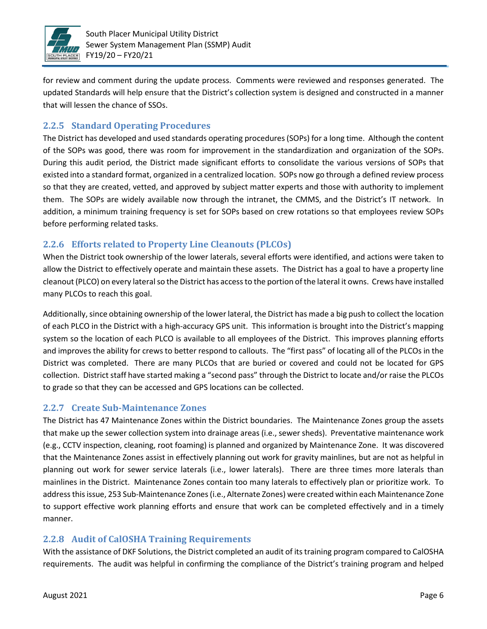

for review and comment during the update process. Comments were reviewed and responses generated. The updated Standards will help ensure that the District's collection system is designed and constructed in a manner that will lessen the chance of SSOs.

### **2.2.5 Standard Operating Procedures**

The District has developed and used standards operating procedures (SOPs) for a long time. Although the content of the SOPs was good, there was room for improvement in the standardization and organization of the SOPs. During this audit period, the District made significant efforts to consolidate the various versions of SOPs that existed into a standard format, organized in a centralized location. SOPs now go through a defined review process so that they are created, vetted, and approved by subject matter experts and those with authority to implement them. The SOPs are widely available now through the intranet, the CMMS, and the District's IT network. In addition, a minimum training frequency is set for SOPs based on crew rotations so that employees review SOPs before performing related tasks.

### **2.2.6 Efforts related to Property Line Cleanouts (PLCOs)**

When the District took ownership of the lower laterals, several efforts were identified, and actions were taken to allow the District to effectively operate and maintain these assets. The District has a goal to have a property line cleanout (PLCO) on every lateral so the District has access to the portion of the lateral it owns. Crews have installed many PLCOs to reach this goal.

Additionally, since obtaining ownership of the lower lateral, the District has made a big push to collect the location of each PLCO in the District with a high-accuracy GPS unit. This information is brought into the District's mapping system so the location of each PLCO is available to all employees of the District. This improves planning efforts and improves the ability for crews to better respond to callouts. The "first pass" of locating all of the PLCOs in the District was completed. There are many PLCOs that are buried or covered and could not be located for GPS collection. District staff have started making a "second pass" through the District to locate and/or raise the PLCOs to grade so that they can be accessed and GPS locations can be collected.

### **2.2.7 Create Sub-Maintenance Zones**

The District has 47 Maintenance Zones within the District boundaries. The Maintenance Zones group the assets that make up the sewer collection system into drainage areas (i.e., sewer sheds). Preventative maintenance work (e.g., CCTV inspection, cleaning, root foaming) is planned and organized by Maintenance Zone. It was discovered that the Maintenance Zones assist in effectively planning out work for gravity mainlines, but are not as helpful in planning out work for sewer service laterals (i.e., lower laterals). There are three times more laterals than mainlines in the District. Maintenance Zones contain too many laterals to effectively plan or prioritize work. To address this issue, 253 Sub-Maintenance Zones (i.e., Alternate Zones) were created within each Maintenance Zone to support effective work planning efforts and ensure that work can be completed effectively and in a timely manner.

### **2.2.8 Audit of CalOSHA Training Requirements**

With the assistance of DKF Solutions, the District completed an audit of its training program compared to CalOSHA requirements. The audit was helpful in confirming the compliance of the District's training program and helped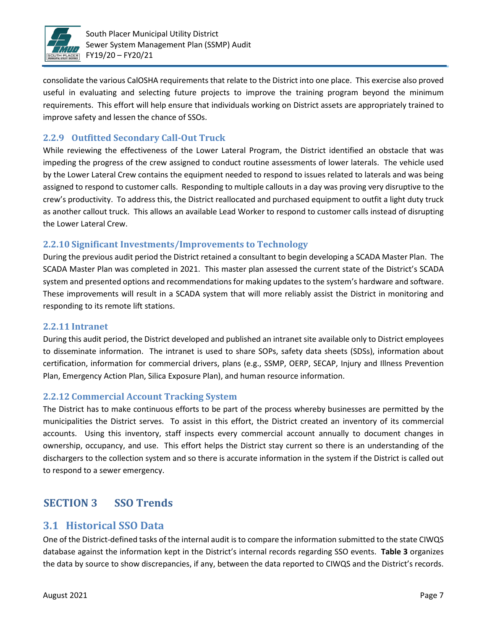

consolidate the various CalOSHA requirements that relate to the District into one place. This exercise also proved useful in evaluating and selecting future projects to improve the training program beyond the minimum requirements. This effort will help ensure that individuals working on District assets are appropriately trained to improve safety and lessen the chance of SSOs.

### **2.2.9 Outfitted Secondary Call-Out Truck**

While reviewing the effectiveness of the Lower Lateral Program, the District identified an obstacle that was impeding the progress of the crew assigned to conduct routine assessments of lower laterals. The vehicle used by the Lower Lateral Crew contains the equipment needed to respond to issues related to laterals and was being assigned to respond to customer calls. Responding to multiple callouts in a day was proving very disruptive to the crew's productivity. To address this, the District reallocated and purchased equipment to outfit a light duty truck as another callout truck. This allows an available Lead Worker to respond to customer calls instead of disrupting the Lower Lateral Crew.

### **2.2.10 Significant Investments/Improvements to Technology**

During the previous audit period the District retained a consultant to begin developing a SCADA Master Plan. The SCADA Master Plan was completed in 2021. This master plan assessed the current state of the District's SCADA system and presented options and recommendations for making updates to the system's hardware and software. These improvements will result in a SCADA system that will more reliably assist the District in monitoring and responding to its remote lift stations.

#### **2.2.11 Intranet**

During this audit period, the District developed and published an intranet site available only to District employees to disseminate information. The intranet is used to share SOPs, safety data sheets (SDSs), information about certification, information for commercial drivers, plans (e.g., SSMP, OERP, SECAP, Injury and Illness Prevention Plan, Emergency Action Plan, Silica Exposure Plan), and human resource information.

### **2.2.12 Commercial Account Tracking System**

The District has to make continuous efforts to be part of the process whereby businesses are permitted by the municipalities the District serves. To assist in this effort, the District created an inventory of its commercial accounts. Using this inventory, staff inspects every commercial account annually to document changes in ownership, occupancy, and use. This effort helps the District stay current so there is an understanding of the dischargers to the collection system and so there is accurate information in the system if the District is called out to respond to a sewer emergency.

## **SECTION 3 SSO Trends**

### **3.1 Historical SSO Data**

One of the District-defined tasks of the internal audit is to compare the information submitted to the state CIWQS database against the information kept in the District's internal records regarding SSO events. **Table 3** organizes the data by source to show discrepancies, if any, between the data reported to CIWQS and the District's records.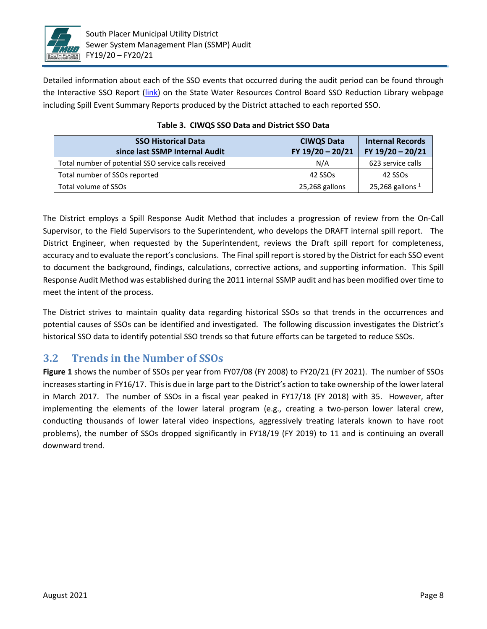

Detailed information about each of the SSO events that occurred during the audit period can be found through the Interactive SSO Report [\(link\)](https://www.waterboards.ca.gov/water_issues/programs/ciwqs/publicreports.html#sso) on the State Water Resources Control Board SSO Reduction Library webpage including Spill Event Summary Reports produced by the District attached to each reported SSO.

| <b>SSO Historical Data</b><br>since last SSMP Internal Audit | <b>CIWQS Data</b><br>FY 19/20 - 20/21 | <b>Internal Records</b><br>FY 19/20 - 20/21 |
|--------------------------------------------------------------|---------------------------------------|---------------------------------------------|
| Total number of potential SSO service calls received         | N/A                                   | 623 service calls                           |
| Total number of SSOs reported                                | 42 SSOs                               | 42 SSOs                                     |
| Total volume of SSOs                                         | 25,268 gallons                        | 25,268 gallons $1$                          |

**Table 3. CIWQS SSO Data and District SSO Data**

The District employs a Spill Response Audit Method that includes a progression of review from the On-Call Supervisor, to the Field Supervisors to the Superintendent, who develops the DRAFT internal spill report. The District Engineer, when requested by the Superintendent, reviews the Draft spill report for completeness, accuracy and to evaluate the report's conclusions. The Final spill report is stored by the District for each SSO event to document the background, findings, calculations, corrective actions, and supporting information. This Spill Response Audit Method was established during the 2011 internal SSMP audit and has been modified over time to meet the intent of the process.

The District strives to maintain quality data regarding historical SSOs so that trends in the occurrences and potential causes of SSOs can be identified and investigated. The following discussion investigates the District's historical SSO data to identify potential SSO trends so that future efforts can be targeted to reduce SSOs.

## **3.2 Trends in the Number of SSOs**

**Figure 1** shows the number of SSOs per year from FY07/08 (FY 2008) to FY20/21 (FY 2021). The number of SSOs increases starting in FY16/17. This is due in large part to the District's action to take ownership of the lower lateral in March 2017. The number of SSOs in a fiscal year peaked in FY17/18 (FY 2018) with 35. However, after implementing the elements of the lower lateral program (e.g., creating a two-person lower lateral crew, conducting thousands of lower lateral video inspections, aggressively treating laterals known to have root problems), the number of SSOs dropped significantly in FY18/19 (FY 2019) to 11 and is continuing an overall downward trend.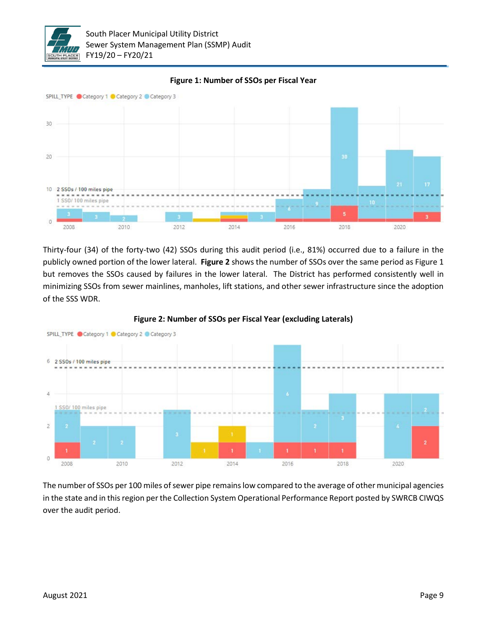



**Figure 1: Number of SSOs per Fiscal Year**

Thirty-four (34) of the forty-two (42) SSOs during this audit period (i.e., 81%) occurred due to a failure in the publicly owned portion of the lower lateral. **Figure 2** shows the number of SSOs over the same period as Figure 1 but removes the SSOs caused by failures in the lower lateral. The District has performed consistently well in minimizing SSOs from sewer mainlines, manholes, lift stations, and other sewer infrastructure since the adoption of the SSS WDR.



**Figure 2: Number of SSOs per Fiscal Year (excluding Laterals)**

The number of SSOs per 100 miles of sewer pipe remains low compared to the average of other municipal agencies in the state and in this region per the Collection System Operational Performance Report posted by SWRCB CIWQS over the audit period.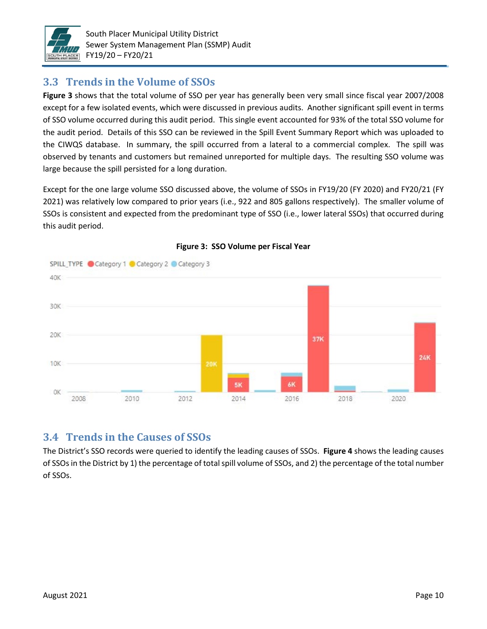

## **3.3 Trends in the Volume of SSOs**

**Figure 3** shows that the total volume of SSO per year has generally been very small since fiscal year 2007/2008 except for a few isolated events, which were discussed in previous audits. Another significant spill event in terms of SSO volume occurred during this audit period. This single event accounted for 93% of the total SSO volume for the audit period. Details of this SSO can be reviewed in the Spill Event Summary Report which was uploaded to the CIWQS database. In summary, the spill occurred from a lateral to a commercial complex. The spill was observed by tenants and customers but remained unreported for multiple days. The resulting SSO volume was large because the spill persisted for a long duration.

Except for the one large volume SSO discussed above, the volume of SSOs in FY19/20 (FY 2020) and FY20/21 (FY 2021) was relatively low compared to prior years (i.e., 922 and 805 gallons respectively). The smaller volume of SSOs is consistent and expected from the predominant type of SSO (i.e., lower lateral SSOs) that occurred during this audit period.





## **3.4 Trends in the Causes of SSOs**

The District's SSO records were queried to identify the leading causes of SSOs. **Figure 4** shows the leading causes of SSOs in the District by 1) the percentage of total spill volume of SSOs, and 2) the percentage of the total number of SSOs.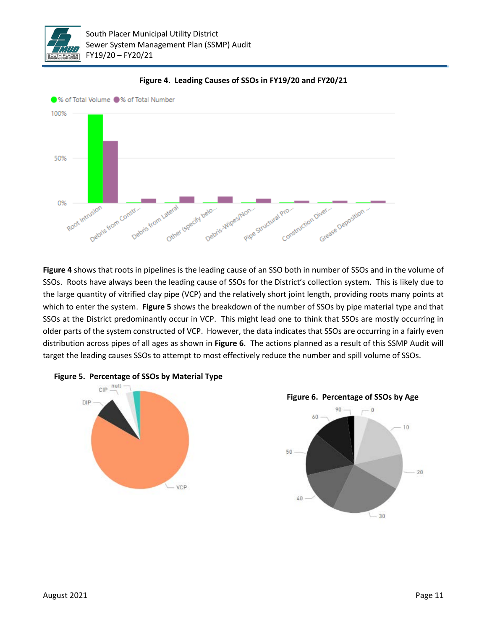



**Figure 4. Leading Causes of SSOs in FY19/20 and FY20/21**

**Figure 4** shows that roots in pipelines is the leading cause of an SSO both in number of SSOs and in the volume of SSOs. Roots have always been the leading cause of SSOs for the District's collection system. This is likely due to the large quantity of vitrified clay pipe (VCP) and the relatively short joint length, providing roots many points at which to enter the system. **Figure 5** shows the breakdown of the number of SSOs by pipe material type and that SSOs at the District predominantly occur in VCP. This might lead one to think that SSOs are mostly occurring in older parts of the system constructed of VCP. However, the data indicates that SSOs are occurring in a fairly even distribution across pipes of all ages as shown in **Figure 6**. The actions planned as a result of this SSMP Audit will target the leading causes SSOs to attempt to most effectively reduce the number and spill volume of SSOs.



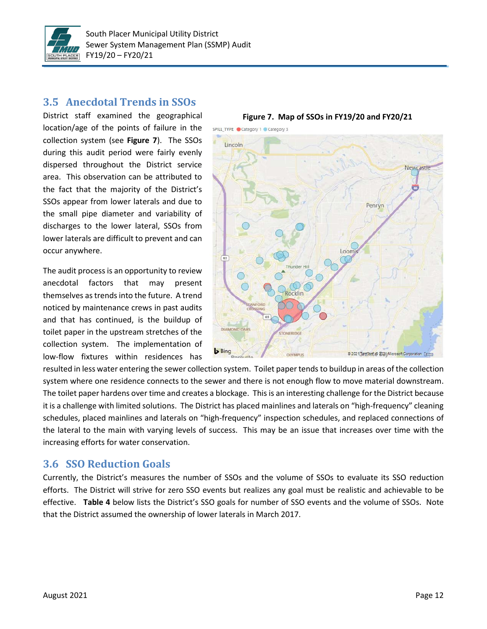

## **3.5 Anecdotal Trends in SSOs**

District staff examined the geographical location/age of the points of failure in the collection system (see **Figure 7**). The SSOs during this audit period were fairly evenly dispersed throughout the District service area. This observation can be attributed to the fact that the majority of the District's SSOs appear from lower laterals and due to the small pipe diameter and variability of discharges to the lower lateral, SSOs from lower laterals are difficult to prevent and can occur anywhere.

The audit process is an opportunity to review anecdotal factors that may present themselves as trends into the future. A trend noticed by maintenance crews in past audits and that has continued, is the buildup of toilet paper in the upstream stretches of the collection system. The implementation of low-flow fixtures within residences has



resulted in less water entering the sewer collection system. Toilet paper tends to buildup in areas of the collection system where one residence connects to the sewer and there is not enough flow to move material downstream. The toilet paper hardens over time and creates a blockage. This is an interesting challenge for the District because it is a challenge with limited solutions. The District has placed mainlines and laterals on "high-frequency" cleaning schedules, placed mainlines and laterals on "high-frequency" inspection schedules, and replaced connections of the lateral to the main with varying levels of success. This may be an issue that increases over time with the increasing efforts for water conservation.

## **3.6 SSO Reduction Goals**

Currently, the District's measures the number of SSOs and the volume of SSOs to evaluate its SSO reduction efforts. The District will strive for zero SSO events but realizes any goal must be realistic and achievable to be effective. **Table 4** below lists the District's SSO goals for number of SSO events and the volume of SSOs. Note that the District assumed the ownership of lower laterals in March 2017.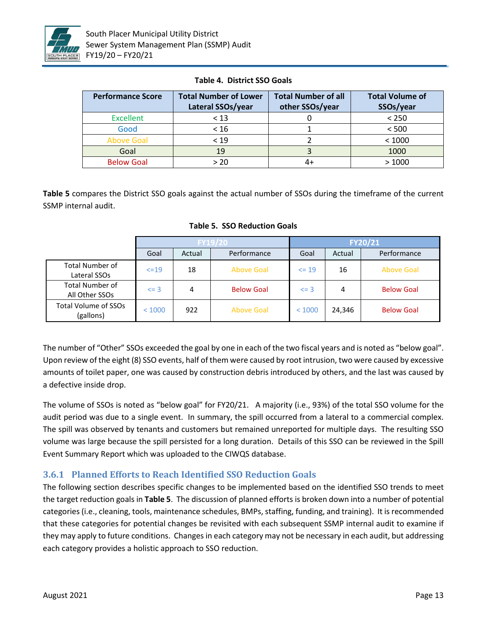

| <b>Performance Score</b> | <b>Total Number of Lower</b><br>Lateral SSOs/year | <b>Total Number of all</b><br>other SSOs/year | <b>Total Volume of</b><br>SSOs/year |
|--------------------------|---------------------------------------------------|-----------------------------------------------|-------------------------------------|
| <b>Excellent</b>         | < 13                                              | U                                             | < 250                               |
| Good                     | < 16                                              |                                               | < 500                               |
| <b>Above Goal</b>        | < 19                                              |                                               | < 1000                              |
| Goal                     | 19                                                |                                               | 1000                                |
| <b>Below Goal</b>        | > 20                                              | 4+                                            | >1000                               |

**Table 4. District SSO Goals**

**Table 5** compares the District SSO goals against the actual number of SSOs during the timeframe of the current SSMP internal audit.

|                                          |          | <b>FY19/20</b> |                   |            | FY20/21 |                   |  |
|------------------------------------------|----------|----------------|-------------------|------------|---------|-------------------|--|
|                                          | Goal     | Actual         | Performance       | Goal       | Actual  | Performance       |  |
| <b>Total Number of</b><br>Lateral SSOs   | $<=19$   | 18             | Above Goal        | $\leq$ 19  | 16      | Above Goal        |  |
| <b>Total Number of</b><br>All Other SSOs | $\leq$ 3 | 4              | <b>Below Goal</b> | $\leq$ = 3 | 4       | <b>Below Goal</b> |  |
| Total Volume of SSOs<br>(gallons)        | < 1000   | 922            | <b>Above Goal</b> | < 1000     | 24,346  | <b>Below Goal</b> |  |

**Table 5. SSO Reduction Goals**

The number of "Other" SSOs exceeded the goal by one in each of the two fiscal years and is noted as "below goal". Upon review of the eight (8) SSO events, half of them were caused by root intrusion, two were caused by excessive amounts of toilet paper, one was caused by construction debris introduced by others, and the last was caused by a defective inside drop.

The volume of SSOs is noted as "below goal" for FY20/21. A majority (i.e., 93%) of the total SSO volume for the audit period was due to a single event. In summary, the spill occurred from a lateral to a commercial complex. The spill was observed by tenants and customers but remained unreported for multiple days. The resulting SSO volume was large because the spill persisted for a long duration. Details of this SSO can be reviewed in the Spill Event Summary Report which was uploaded to the CIWQS database.

### **3.6.1 Planned Efforts to Reach Identified SSO Reduction Goals**

The following section describes specific changes to be implemented based on the identified SSO trends to meet the target reduction goals in **Table 5**. The discussion of planned efforts is broken down into a number of potential categories (i.e., cleaning, tools, maintenance schedules, BMPs, staffing, funding, and training). It is recommended that these categories for potential changes be revisited with each subsequent SSMP internal audit to examine if they may apply to future conditions. Changes in each category may not be necessary in each audit, but addressing each category provides a holistic approach to SSO reduction.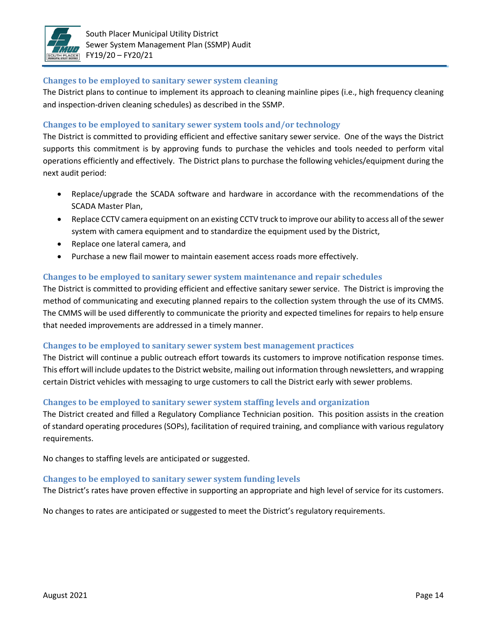

#### **Changes to be employed to sanitary sewer system cleaning**

The District plans to continue to implement its approach to cleaning mainline pipes (i.e., high frequency cleaning and inspection-driven cleaning schedules) as described in the SSMP.

#### **Changes to be employed to sanitary sewer system tools and/or technology**

The District is committed to providing efficient and effective sanitary sewer service. One of the ways the District supports this commitment is by approving funds to purchase the vehicles and tools needed to perform vital operations efficiently and effectively. The District plans to purchase the following vehicles/equipment during the next audit period:

- Replace/upgrade the SCADA software and hardware in accordance with the recommendations of the SCADA Master Plan,
- Replace CCTV camera equipment on an existing CCTV truck to improve our ability to access all of the sewer system with camera equipment and to standardize the equipment used by the District,
- Replace one lateral camera, and
- Purchase a new flail mower to maintain easement access roads more effectively.

#### **Changes to be employed to sanitary sewer system maintenance and repair schedules**

The District is committed to providing efficient and effective sanitary sewer service. The District is improving the method of communicating and executing planned repairs to the collection system through the use of its CMMS. The CMMS will be used differently to communicate the priority and expected timelines for repairs to help ensure that needed improvements are addressed in a timely manner.

#### **Changes to be employed to sanitary sewer system best management practices**

The District will continue a public outreach effort towards its customers to improve notification response times. This effort will include updates to the District website, mailing out information through newsletters, and wrapping certain District vehicles with messaging to urge customers to call the District early with sewer problems.

#### **Changes to be employed to sanitary sewer system staffing levels and organization**

The District created and filled a Regulatory Compliance Technician position. This position assists in the creation of standard operating procedures (SOPs), facilitation of required training, and compliance with various regulatory requirements.

No changes to staffing levels are anticipated or suggested.

#### **Changes to be employed to sanitary sewer system funding levels**

The District's rates have proven effective in supporting an appropriate and high level of service for its customers.

No changes to rates are anticipated or suggested to meet the District's regulatory requirements.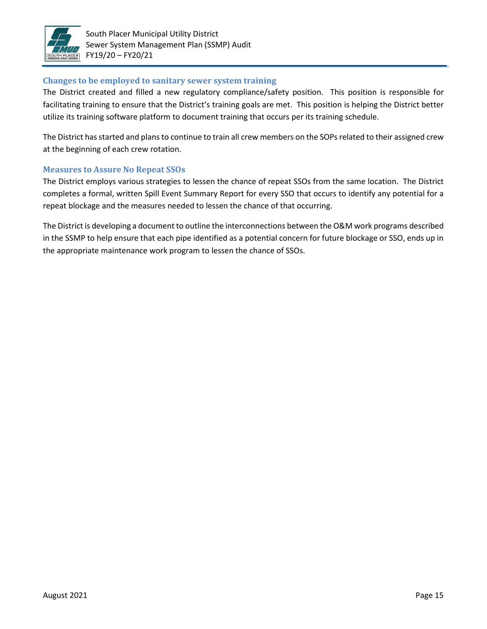

#### **Changes to be employed to sanitary sewer system training**

The District created and filled a new regulatory compliance/safety position. This position is responsible for facilitating training to ensure that the District's training goals are met. This position is helping the District better utilize its training software platform to document training that occurs per its training schedule.

The District has started and plans to continue to train all crew members on the SOPs related to their assigned crew at the beginning of each crew rotation.

#### **Measures to Assure No Repeat SSOs**

The District employs various strategies to lessen the chance of repeat SSOs from the same location. The District completes a formal, written Spill Event Summary Report for every SSO that occurs to identify any potential for a repeat blockage and the measures needed to lessen the chance of that occurring.

The District is developing a document to outline the interconnections between the O&M work programs described in the SSMP to help ensure that each pipe identified as a potential concern for future blockage or SSO, ends up in the appropriate maintenance work program to lessen the chance of SSOs.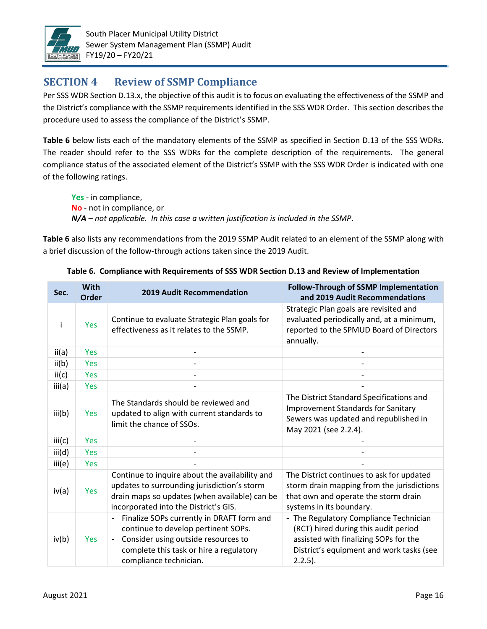

## **SECTION 4 Review of SSMP Compliance**

Per SSS WDR Section D.13.x, the objective of this audit is to focus on evaluating the effectiveness of the SSMP and the District's compliance with the SSMP requirements identified in the SSS WDR Order. This section describes the procedure used to assess the compliance of the District's SSMP.

**Table 6** below lists each of the mandatory elements of the SSMP as specified in Section D.13 of the SSS WDRs. The reader should refer to the SSS WDRs for the complete description of the requirements. The general compliance status of the associated element of the District's SSMP with the SSS WDR Order is indicated with one of the following ratings.

**Yes** - in compliance, **No** - not in compliance, or *N/A – not applicable. In this case a written justification is included in the SSMP*.

**Table 6** also lists any recommendations from the 2019 SSMP Audit related to an element of the SSMP along with a brief discussion of the follow-through actions taken since the 2019 Audit.

| Sec.   | <b>With</b><br><b>Order</b> | <b>2019 Audit Recommendation</b>                                                                                                                                                                                             | <b>Follow-Through of SSMP Implementation</b><br>and 2019 Audit Recommendations                                                                                                    |
|--------|-----------------------------|------------------------------------------------------------------------------------------------------------------------------------------------------------------------------------------------------------------------------|-----------------------------------------------------------------------------------------------------------------------------------------------------------------------------------|
| Ť      | Yes                         | Continue to evaluate Strategic Plan goals for<br>effectiveness as it relates to the SSMP.                                                                                                                                    | Strategic Plan goals are revisited and<br>evaluated periodically and, at a minimum,<br>reported to the SPMUD Board of Directors<br>annually.                                      |
| ii(a)  | <b>Yes</b>                  |                                                                                                                                                                                                                              |                                                                                                                                                                                   |
| ii(b)  | Yes                         |                                                                                                                                                                                                                              |                                                                                                                                                                                   |
| ii(c)  | <b>Yes</b>                  |                                                                                                                                                                                                                              |                                                                                                                                                                                   |
| iii(a) | Yes                         |                                                                                                                                                                                                                              |                                                                                                                                                                                   |
| iii(b) | Yes                         | The Standards should be reviewed and<br>updated to align with current standards to<br>limit the chance of SSOs.                                                                                                              | The District Standard Specifications and<br><b>Improvement Standards for Sanitary</b><br>Sewers was updated and republished in<br>May 2021 (see 2.2.4).                           |
| iii(c) | Yes                         |                                                                                                                                                                                                                              |                                                                                                                                                                                   |
| iii(d) | Yes                         |                                                                                                                                                                                                                              |                                                                                                                                                                                   |
| iii(e) | Yes                         |                                                                                                                                                                                                                              |                                                                                                                                                                                   |
| iv(a)  | Yes                         | Continue to inquire about the availability and<br>updates to surrounding jurisdiction's storm<br>drain maps so updates (when available) can be<br>incorporated into the District's GIS.                                      | The District continues to ask for updated<br>storm drain mapping from the jurisdictions<br>that own and operate the storm drain<br>systems in its boundary.                       |
| iv(b)  | <b>Yes</b>                  | Finalize SOPs currently in DRAFT form and<br>continue to develop pertinent SOPs.<br>Consider using outside resources to<br>$\qquad \qquad \blacksquare$<br>complete this task or hire a regulatory<br>compliance technician. | - The Regulatory Compliance Technician<br>(RCT) hired during this audit period<br>assisted with finalizing SOPs for the<br>District's equipment and work tasks (see<br>$2.2.5$ ). |

**Table 6. Compliance with Requirements of SSS WDR Section D.13 and Review of Implementation**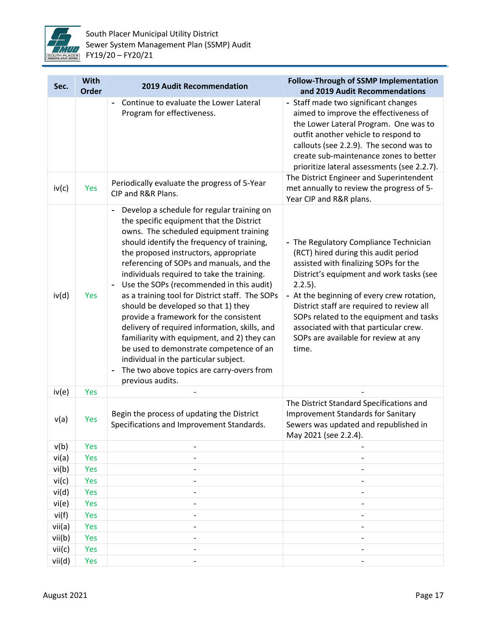

| Sec.   | With<br>Order | <b>2019 Audit Recommendation</b>                                                                                                                                                                                                                                                                                                                                                                                                                                                                                                                                                                                                                                                                                                                       | <b>Follow-Through of SSMP Implementation</b><br>and 2019 Audit Recommendations                                                                                                                                                                                                                                                                                                                                    |
|--------|---------------|--------------------------------------------------------------------------------------------------------------------------------------------------------------------------------------------------------------------------------------------------------------------------------------------------------------------------------------------------------------------------------------------------------------------------------------------------------------------------------------------------------------------------------------------------------------------------------------------------------------------------------------------------------------------------------------------------------------------------------------------------------|-------------------------------------------------------------------------------------------------------------------------------------------------------------------------------------------------------------------------------------------------------------------------------------------------------------------------------------------------------------------------------------------------------------------|
|        |               | Continue to evaluate the Lower Lateral<br>Program for effectiveness.                                                                                                                                                                                                                                                                                                                                                                                                                                                                                                                                                                                                                                                                                   | - Staff made two significant changes<br>aimed to improve the effectiveness of<br>the Lower Lateral Program. One was to<br>outfit another vehicle to respond to<br>callouts (see 2.2.9). The second was to<br>create sub-maintenance zones to better<br>prioritize lateral assessments (see 2.2.7).                                                                                                                |
| iv(c)  | Yes           | Periodically evaluate the progress of 5-Year<br>CIP and R&R Plans.                                                                                                                                                                                                                                                                                                                                                                                                                                                                                                                                                                                                                                                                                     | The District Engineer and Superintendent<br>met annually to review the progress of 5-<br>Year CIP and R&R plans.                                                                                                                                                                                                                                                                                                  |
| iv(d)  | Yes           | Develop a schedule for regular training on<br>the specific equipment that the District<br>owns. The scheduled equipment training<br>should identify the frequency of training,<br>the proposed instructors, appropriate<br>referencing of SOPs and manuals, and the<br>individuals required to take the training.<br>Use the SOPs (recommended in this audit)<br>as a training tool for District staff. The SOPs<br>should be developed so that 1) they<br>provide a framework for the consistent<br>delivery of required information, skills, and<br>familiarity with equipment, and 2) they can<br>be used to demonstrate competence of an<br>individual in the particular subject.<br>The two above topics are carry-overs from<br>previous audits. | - The Regulatory Compliance Technician<br>(RCT) hired during this audit period<br>assisted with finalizing SOPs for the<br>District's equipment and work tasks (see<br>$2.2.5$ ).<br>- At the beginning of every crew rotation,<br>District staff are required to review all<br>SOPs related to the equipment and tasks<br>associated with that particular crew.<br>SOPs are available for review at any<br>time. |
| iv(e)  | Yes           |                                                                                                                                                                                                                                                                                                                                                                                                                                                                                                                                                                                                                                                                                                                                                        |                                                                                                                                                                                                                                                                                                                                                                                                                   |
| v(a)   | Yes           | Begin the process of updating the District<br>Specifications and Improvement Standards.                                                                                                                                                                                                                                                                                                                                                                                                                                                                                                                                                                                                                                                                | The District Standard Specifications and<br><b>Improvement Standards for Sanitary</b><br>Sewers was updated and republished in<br>May 2021 (see 2.2.4).                                                                                                                                                                                                                                                           |
| v(b)   | Yes           |                                                                                                                                                                                                                                                                                                                                                                                                                                                                                                                                                                                                                                                                                                                                                        |                                                                                                                                                                                                                                                                                                                                                                                                                   |
| vi(a)  | Yes           |                                                                                                                                                                                                                                                                                                                                                                                                                                                                                                                                                                                                                                                                                                                                                        |                                                                                                                                                                                                                                                                                                                                                                                                                   |
| vi(b)  | Yes           |                                                                                                                                                                                                                                                                                                                                                                                                                                                                                                                                                                                                                                                                                                                                                        |                                                                                                                                                                                                                                                                                                                                                                                                                   |
| vi(c)  | Yes           |                                                                                                                                                                                                                                                                                                                                                                                                                                                                                                                                                                                                                                                                                                                                                        |                                                                                                                                                                                                                                                                                                                                                                                                                   |
| vi(d)  | Yes           |                                                                                                                                                                                                                                                                                                                                                                                                                                                                                                                                                                                                                                                                                                                                                        | $\overline{\phantom{a}}$                                                                                                                                                                                                                                                                                                                                                                                          |
| vi(e)  | Yes           |                                                                                                                                                                                                                                                                                                                                                                                                                                                                                                                                                                                                                                                                                                                                                        |                                                                                                                                                                                                                                                                                                                                                                                                                   |
| vi(f)  | Yes           |                                                                                                                                                                                                                                                                                                                                                                                                                                                                                                                                                                                                                                                                                                                                                        |                                                                                                                                                                                                                                                                                                                                                                                                                   |
| vii(a) | Yes           |                                                                                                                                                                                                                                                                                                                                                                                                                                                                                                                                                                                                                                                                                                                                                        |                                                                                                                                                                                                                                                                                                                                                                                                                   |
| vii(b) | Yes           |                                                                                                                                                                                                                                                                                                                                                                                                                                                                                                                                                                                                                                                                                                                                                        |                                                                                                                                                                                                                                                                                                                                                                                                                   |
| vii(c) | Yes           |                                                                                                                                                                                                                                                                                                                                                                                                                                                                                                                                                                                                                                                                                                                                                        |                                                                                                                                                                                                                                                                                                                                                                                                                   |
| vii(d) | Yes           |                                                                                                                                                                                                                                                                                                                                                                                                                                                                                                                                                                                                                                                                                                                                                        |                                                                                                                                                                                                                                                                                                                                                                                                                   |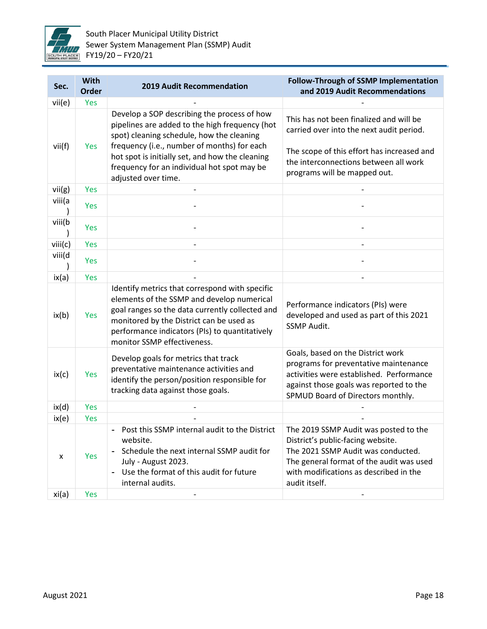

| Sec.    | With<br><b>Order</b> | <b>2019 Audit Recommendation</b>                                                                                                                                                                                                                                                                                   | <b>Follow-Through of SSMP Implementation</b><br>and 2019 Audit Recommendations                                                                                                                                          |
|---------|----------------------|--------------------------------------------------------------------------------------------------------------------------------------------------------------------------------------------------------------------------------------------------------------------------------------------------------------------|-------------------------------------------------------------------------------------------------------------------------------------------------------------------------------------------------------------------------|
| vii(e)  | Yes                  |                                                                                                                                                                                                                                                                                                                    |                                                                                                                                                                                                                         |
| vii(f)  | Yes                  | Develop a SOP describing the process of how<br>pipelines are added to the high frequency (hot<br>spot) cleaning schedule, how the cleaning<br>frequency (i.e., number of months) for each<br>hot spot is initially set, and how the cleaning<br>frequency for an individual hot spot may be<br>adjusted over time. | This has not been finalized and will be<br>carried over into the next audit period.<br>The scope of this effort has increased and<br>the interconnections between all work<br>programs will be mapped out.              |
| vii(g)  | Yes                  |                                                                                                                                                                                                                                                                                                                    |                                                                                                                                                                                                                         |
| viii(a  | Yes                  |                                                                                                                                                                                                                                                                                                                    |                                                                                                                                                                                                                         |
| viii(b  | Yes                  |                                                                                                                                                                                                                                                                                                                    |                                                                                                                                                                                                                         |
| viii(c) | Yes                  |                                                                                                                                                                                                                                                                                                                    |                                                                                                                                                                                                                         |
| viii(d  | Yes                  |                                                                                                                                                                                                                                                                                                                    |                                                                                                                                                                                                                         |
| ix(a)   | Yes                  |                                                                                                                                                                                                                                                                                                                    |                                                                                                                                                                                                                         |
| ix(b)   | Yes                  | Identify metrics that correspond with specific<br>elements of the SSMP and develop numerical<br>goal ranges so the data currently collected and<br>monitored by the District can be used as<br>performance indicators (PIs) to quantitatively<br>monitor SSMP effectiveness.                                       | Performance indicators (PIs) were<br>developed and used as part of this 2021<br><b>SSMP Audit.</b>                                                                                                                      |
| ix(c)   | Yes                  | Develop goals for metrics that track<br>preventative maintenance activities and<br>identify the person/position responsible for<br>tracking data against those goals.                                                                                                                                              | Goals, based on the District work<br>programs for preventative maintenance<br>activities were established. Performance<br>against those goals was reported to the<br>SPMUD Board of Directors monthly.                  |
| ix(d)   | Yes                  |                                                                                                                                                                                                                                                                                                                    |                                                                                                                                                                                                                         |
| ix(e)   | Yes                  |                                                                                                                                                                                                                                                                                                                    |                                                                                                                                                                                                                         |
| X       | Yes                  | Post this SSMP internal audit to the District<br>website.<br>Schedule the next internal SSMP audit for<br>July - August 2023.<br>Use the format of this audit for future<br>internal audits.                                                                                                                       | The 2019 SSMP Audit was posted to the<br>District's public-facing website.<br>The 2021 SSMP Audit was conducted.<br>The general format of the audit was used<br>with modifications as described in the<br>audit itself. |
| xi(a)   | Yes                  |                                                                                                                                                                                                                                                                                                                    |                                                                                                                                                                                                                         |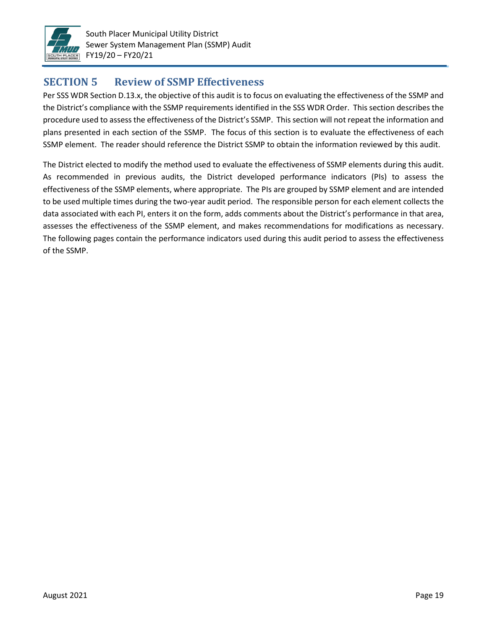

## **SECTION 5 Review of SSMP Effectiveness**

Per SSS WDR Section D.13.x, the objective of this audit is to focus on evaluating the effectiveness of the SSMP and the District's compliance with the SSMP requirements identified in the SSS WDR Order. This section describes the procedure used to assess the effectiveness of the District's SSMP. This section will not repeat the information and plans presented in each section of the SSMP. The focus of this section is to evaluate the effectiveness of each SSMP element. The reader should reference the District SSMP to obtain the information reviewed by this audit.

The District elected to modify the method used to evaluate the effectiveness of SSMP elements during this audit. As recommended in previous audits, the District developed performance indicators (PIs) to assess the effectiveness of the SSMP elements, where appropriate. The PIs are grouped by SSMP element and are intended to be used multiple times during the two-year audit period. The responsible person for each element collects the data associated with each PI, enters it on the form, adds comments about the District's performance in that area, assesses the effectiveness of the SSMP element, and makes recommendations for modifications as necessary. The following pages contain the performance indicators used during this audit period to assess the effectiveness of the SSMP.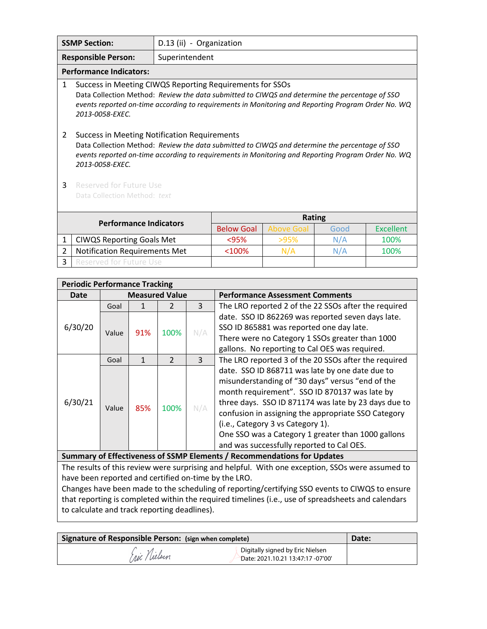|                                     | <b>SSMP Section:</b>                                                                                                                                                                                                                                                                | D.13 (ii) - Organization |                   |                   |      |                  |
|-------------------------------------|-------------------------------------------------------------------------------------------------------------------------------------------------------------------------------------------------------------------------------------------------------------------------------------|--------------------------|-------------------|-------------------|------|------------------|
|                                     | <b>Responsible Person:</b>                                                                                                                                                                                                                                                          | Superintendent           |                   |                   |      |                  |
|                                     | <b>Performance Indicators:</b>                                                                                                                                                                                                                                                      |                          |                   |                   |      |                  |
| 1                                   | Success in Meeting CIWQS Reporting Requirements for SSOs<br>Data Collection Method: Review the data submitted to CIWQS and determine the percentage of SSO<br>events reported on-time according to requirements in Monitoring and Reporting Program Order No. WQ<br>2013-0058-EXEC. |                          |                   |                   |      |                  |
| 2                                   | <b>Success in Meeting Notification Requirements</b><br>Data Collection Method: Review the data submitted to CIWQS and determine the percentage of SSO<br>events reported on-time according to requirements in Monitoring and Reporting Program Order No. WQ<br>2013-0058-EXEC.      |                          |                   |                   |      |                  |
| 3                                   | <b>Reserved for Future Use</b><br>Data Collection Method: text                                                                                                                                                                                                                      |                          |                   |                   |      |                  |
| <b>Performance Indicators</b>       |                                                                                                                                                                                                                                                                                     |                          |                   | <b>Rating</b>     |      |                  |
|                                     |                                                                                                                                                                                                                                                                                     |                          | <b>Below Goal</b> | <b>Above Goal</b> | Good | <b>Excellent</b> |
| 1                                   | <b>CIWQS Reporting Goals Met</b>                                                                                                                                                                                                                                                    |                          | $95%$             | >95%              | N/A  | 100%             |
| 2                                   | <b>Notification Requirements Met</b>                                                                                                                                                                                                                                                |                          | $<$ 100%          | N/A               | N/A  | 100%             |
| 3<br><b>Reserved for Future Use</b> |                                                                                                                                                                                                                                                                                     |                          |                   |                   |      |                  |

| <b>Periodic Performance Tracking</b>                                    |                       |              |               |     |                                                      |  |
|-------------------------------------------------------------------------|-----------------------|--------------|---------------|-----|------------------------------------------------------|--|
| Date                                                                    | <b>Measured Value</b> |              |               |     | <b>Performance Assessment Comments</b>               |  |
|                                                                         | Goal                  |              | 2             | 3   | The LRO reported 2 of the 22 SSOs after the required |  |
|                                                                         |                       |              |               |     | date. SSO ID 862269 was reported seven days late.    |  |
| 6/30/20                                                                 |                       |              |               |     | SSO ID 865881 was reported one day late.             |  |
|                                                                         | Value                 | 91%          | 100%          | N/A | There were no Category 1 SSOs greater than 1000      |  |
|                                                                         |                       |              |               |     | gallons. No reporting to Cal OES was required.       |  |
|                                                                         | Goal                  | $\mathbf{1}$ | $\mathcal{P}$ | 3   | The LRO reported 3 of the 20 SSOs after the required |  |
|                                                                         |                       | 85%          | 100%          |     | date. SSO ID 868711 was late by one date due to      |  |
|                                                                         | Value                 |              |               |     | misunderstanding of "30 days" versus "end of the     |  |
|                                                                         |                       |              |               |     | month requirement". SSO ID 870137 was late by        |  |
| 6/30/21                                                                 |                       |              |               |     | three days. SSO ID 871174 was late by 23 days due to |  |
|                                                                         |                       |              |               | N/A | confusion in assigning the appropriate SSO Category  |  |
|                                                                         |                       |              |               |     | (i.e., Category 3 vs Category 1).                    |  |
|                                                                         |                       |              |               |     | One SSO was a Category 1 greater than 1000 gallons   |  |
|                                                                         |                       |              |               |     | and was successfully reported to Cal OES.            |  |
| Summary of Effectiveness of SSMP Elements / Recommendations for Updates |                       |              |               |     |                                                      |  |

The results of this review were surprising and helpful. With one exception, SSOs were assumed to have been reported and certified on-time by the LRO.

Changes have been made to the scheduling of reporting/certifying SSO events to CIWQS to ensure that reporting is completed within the required timelines (i.e., use of spreadsheets and calendars to calculate and track reporting deadlines).

| Signature of Responsible Person: (sign when complete) | Date:                                                                 |  |
|-------------------------------------------------------|-----------------------------------------------------------------------|--|
| Fric Nielsen                                          | Digitally signed by Eric Nielsen<br>Date: 2021.10.21 13:47:17 -07'00' |  |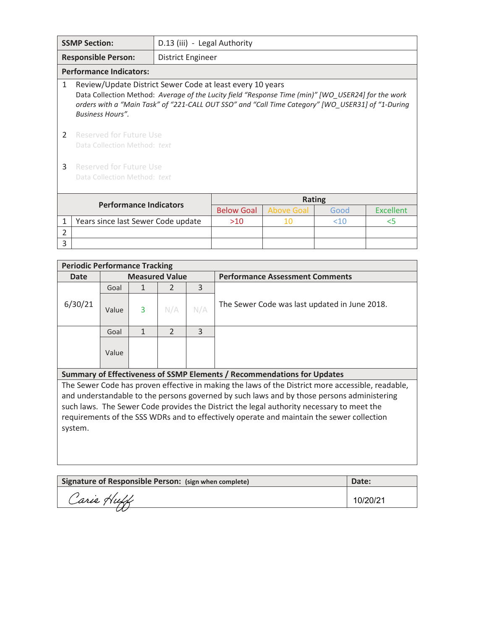| <b>SSMP Section:</b> |                                                                                                                                                                                                                                                                                                 | D.13 (iii) - Legal Authority |                   |                   |        |                  |  |
|----------------------|-------------------------------------------------------------------------------------------------------------------------------------------------------------------------------------------------------------------------------------------------------------------------------------------------|------------------------------|-------------------|-------------------|--------|------------------|--|
|                      | <b>Responsible Person:</b>                                                                                                                                                                                                                                                                      | <b>District Engineer</b>     |                   |                   |        |                  |  |
|                      | <b>Performance Indicators:</b>                                                                                                                                                                                                                                                                  |                              |                   |                   |        |                  |  |
| $\mathbf{1}$         | Review/Update District Sewer Code at least every 10 years<br>Data Collection Method: Average of the Lucity field "Response Time (min)" [WO_USER24] for the work<br>orders with a "Main Task" of "221-CALL OUT SSO" and "Call Time Category" [WO USER31] of "1-During<br><b>Business Hours".</b> |                              |                   |                   |        |                  |  |
| 2                    | Reserved for Future Use<br>Data Collection Method: text                                                                                                                                                                                                                                         |                              |                   |                   |        |                  |  |
| 3                    | Reserved for Future Use<br>Data Collection Method: text                                                                                                                                                                                                                                         |                              |                   |                   |        |                  |  |
|                      | <b>Performance Indicators</b>                                                                                                                                                                                                                                                                   |                              |                   | <b>Rating</b>     |        |                  |  |
|                      |                                                                                                                                                                                                                                                                                                 |                              | <b>Below Goal</b> | <b>Above Goal</b> | Good   | <b>Excellent</b> |  |
| 1                    | Years since last Sewer Code update                                                                                                                                                                                                                                                              |                              | >10               | 10                | $<$ 10 | $<$ 5            |  |
| $\mathfrak{p}$       |                                                                                                                                                                                                                                                                                                 |                              |                   |                   |        |                  |  |
| 3                    |                                                                                                                                                                                                                                                                                                 |                              |                   |                   |        |                  |  |

| <b>Periodic Performance Tracking</b>                                                              |       |                       |               |     |                                               |  |  |
|---------------------------------------------------------------------------------------------------|-------|-----------------------|---------------|-----|-----------------------------------------------|--|--|
| <b>Date</b>                                                                                       |       | <b>Measured Value</b> |               |     | <b>Performance Assessment Comments</b>        |  |  |
|                                                                                                   | Goal  |                       |               | 3   |                                               |  |  |
| 6/30/21                                                                                           | Value | 3                     | N/A           | N/A | The Sewer Code was last updated in June 2018. |  |  |
|                                                                                                   | Goal  |                       | $\mathcal{P}$ | 3   |                                               |  |  |
|                                                                                                   | Value |                       |               |     |                                               |  |  |
| Summary of Effectiveness of SSMP Elements / Recommendations for Updates                           |       |                       |               |     |                                               |  |  |
| The Sewer Code has proven effective in making the laws of the District more accessible, readable, |       |                       |               |     |                                               |  |  |
| and understandable to the nersons governed by such laws and by those nersons administering        |       |                       |               |     |                                               |  |  |

and understandable to the persons governed by such laws and by those persons administering such laws. The Sewer Code provides the District the legal authority necessary to meet the requirements of the SSS WDRs and to effectively operate and maintain the sewer collection system.

| Signature of Responsible Person: (sign when complete) | Date:    |
|-------------------------------------------------------|----------|
| Carie Huff                                            | 10/20/21 |
|                                                       |          |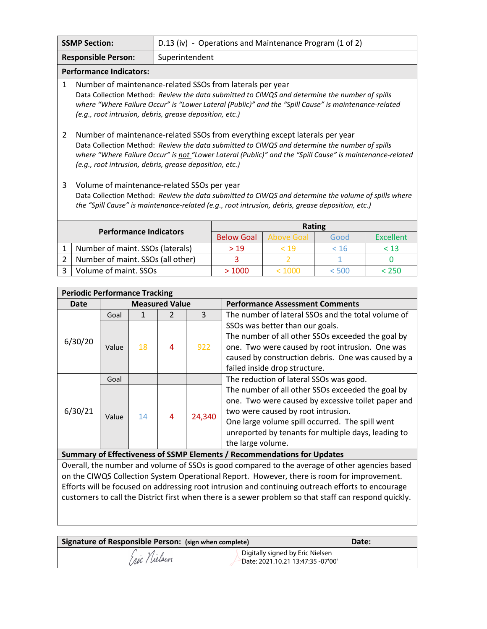|                                              | <b>SSMP Section:</b>                                                                                                                                                                                                                                                                                                                                | D.13 (iv) - Operations and Maintenance Program (1 of 2) |                   |      |                  |      |  |
|----------------------------------------------|-----------------------------------------------------------------------------------------------------------------------------------------------------------------------------------------------------------------------------------------------------------------------------------------------------------------------------------------------------|---------------------------------------------------------|-------------------|------|------------------|------|--|
| Superintendent<br><b>Responsible Person:</b> |                                                                                                                                                                                                                                                                                                                                                     |                                                         |                   |      |                  |      |  |
|                                              | <b>Performance Indicators:</b>                                                                                                                                                                                                                                                                                                                      |                                                         |                   |      |                  |      |  |
| 1                                            | Number of maintenance-related SSOs from laterals per year                                                                                                                                                                                                                                                                                           |                                                         |                   |      |                  |      |  |
|                                              | Data Collection Method: Review the data submitted to CIWQS and determine the number of spills<br>where "Where Failure Occur" is "Lower Lateral (Public)" and the "Spill Cause" is maintenance-related                                                                                                                                               |                                                         |                   |      |                  |      |  |
|                                              | (e.g., root intrusion, debris, grease deposition, etc.)                                                                                                                                                                                                                                                                                             |                                                         |                   |      |                  |      |  |
| 2                                            | Number of maintenance-related SSOs from everything except laterals per year<br>Data Collection Method: Review the data submitted to CIWQS and determine the number of spills<br>where "Where Failure Occur" is not "Lower Lateral (Public)" and the "Spill Cause" is maintenance-related<br>(e.g., root intrusion, debris, grease deposition, etc.) |                                                         |                   |      |                  |      |  |
| 3                                            | Volume of maintenance-related SSOs per year<br>Data Collection Method: Review the data submitted to CIWQS and determine the volume of spills where<br>the "Spill Cause" is maintenance-related (e.g., root intrusion, debris, grease deposition, etc.)                                                                                              |                                                         |                   |      |                  |      |  |
|                                              |                                                                                                                                                                                                                                                                                                                                                     |                                                         |                   |      | <b>Rating</b>    |      |  |
| <b>Performance Indicators</b>                |                                                                                                                                                                                                                                                                                                                                                     | <b>Below Goal</b>                                       | <b>Above Goal</b> | Good | <b>Excellent</b> |      |  |
| 1                                            | Number of maint. SSOs (laterals)                                                                                                                                                                                                                                                                                                                    |                                                         | >19               | < 19 | < 16             | < 13 |  |
| 2                                            | Number of maint. SSOs (all other)                                                                                                                                                                                                                                                                                                                   |                                                         | 3                 |      | 1                |      |  |

| <b>Periodic Performance Tracking</b> |       |    |                       |        |                                                                         |  |
|--------------------------------------|-------|----|-----------------------|--------|-------------------------------------------------------------------------|--|
| Date                                 |       |    | <b>Measured Value</b> |        | <b>Performance Assessment Comments</b>                                  |  |
|                                      | Goal  |    |                       | 3      | The number of lateral SSOs and the total volume of                      |  |
|                                      |       |    |                       |        | SSOs was better than our goals.                                         |  |
| 6/30/20                              |       |    |                       |        | The number of all other SSOs exceeded the goal by                       |  |
|                                      | Value | 18 | 4                     | 922    | one. Two were caused by root intrusion. One was                         |  |
|                                      |       |    |                       |        | caused by construction debris. One was caused by a                      |  |
|                                      |       |    |                       |        | failed inside drop structure.                                           |  |
|                                      | Goal  |    |                       |        | The reduction of lateral SSOs was good.                                 |  |
|                                      |       |    |                       |        | The number of all other SSOs exceeded the goal by                       |  |
|                                      |       |    |                       |        | one. Two were caused by excessive toilet paper and                      |  |
| 6/30/21                              |       |    |                       |        | two were caused by root intrusion.                                      |  |
|                                      | Value | 14 | 4                     | 24,340 | One large volume spill occurred. The spill went                         |  |
|                                      |       |    |                       |        | unreported by tenants for multiple days, leading to                     |  |
|                                      |       |    |                       |        | the large volume.                                                       |  |
|                                      |       |    |                       |        | Summary of Effectiveness of SSMP Elements / Recommendations for Updates |  |

3 Volume of maint. SSOs > 1000 < 1000 < 500 < 250

Overall, the number and volume of SSOs is good compared to the average of other agencies based on the CIWQS Collection System Operational Report. However, there is room for improvement. Efforts will be focused on addressing root intrusion and continuing outreach efforts to encourage customers to call the District first when there is a sewer problem so that staff can respond quickly.

| Signature of Responsible Person: (sign when complete) | Date:                                                                 |  |
|-------------------------------------------------------|-----------------------------------------------------------------------|--|
| ric Nielsen                                           | Digitally signed by Eric Nielsen<br>Date: 2021.10.21 13:47:35 -07'00' |  |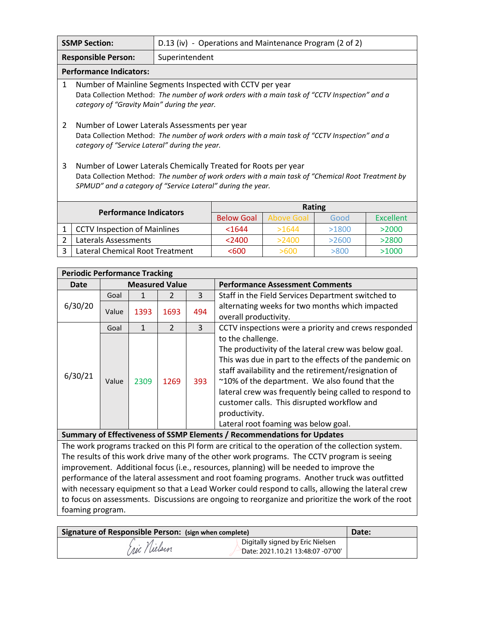|   | <b>SSMP Section:</b>                                                                                                                                                                                                               |                | D.13 (iv) - Operations and Maintenance Program (2 of 2) |                   |       |                  |
|---|------------------------------------------------------------------------------------------------------------------------------------------------------------------------------------------------------------------------------------|----------------|---------------------------------------------------------|-------------------|-------|------------------|
|   | <b>Responsible Person:</b>                                                                                                                                                                                                         | Superintendent |                                                         |                   |       |                  |
|   | <b>Performance Indicators:</b>                                                                                                                                                                                                     |                |                                                         |                   |       |                  |
| 1 | Number of Mainline Segments Inspected with CCTV per year<br>Data Collection Method: The number of work orders with a main task of "CCTV Inspection" and a<br>category of "Gravity Main" during the year.                           |                |                                                         |                   |       |                  |
| 2 | Number of Lower Laterals Assessments per year<br>Data Collection Method: The number of work orders with a main task of "CCTV Inspection" and a<br>category of "Service Lateral" during the year.                                   |                |                                                         |                   |       |                  |
| 3 | Number of Lower Laterals Chemically Treated for Roots per year<br>Data Collection Method: The number of work orders with a main task of "Chemical Root Treatment by<br>SPMUD" and a category of "Service Lateral" during the year. |                |                                                         |                   |       |                  |
|   |                                                                                                                                                                                                                                    |                | <b>Rating</b>                                           |                   |       |                  |
|   | <b>Performance Indicators</b>                                                                                                                                                                                                      |                | <b>Below Goal</b>                                       | <b>Above Goal</b> | Good  | <b>Excellent</b> |
| 1 | <b>CCTV Inspection of Mainlines</b>                                                                                                                                                                                                |                | $1644$                                                  | >1644             | >1800 | >2000            |
| 2 | <b>Laterals Assessments</b>                                                                                                                                                                                                        |                | < 2400                                                  | >2400             | >2600 | >2800            |
| 3 | Lateral Chemical Root Treatment                                                                                                                                                                                                    |                | < 600                                                   | >600              | >800  | >1000            |

| <b>Periodic Performance Tracking</b>                                                         |                       |              |                |     |                                                                                                                                                                                                                                                                                                                                                                                                                 |  |
|----------------------------------------------------------------------------------------------|-----------------------|--------------|----------------|-----|-----------------------------------------------------------------------------------------------------------------------------------------------------------------------------------------------------------------------------------------------------------------------------------------------------------------------------------------------------------------------------------------------------------------|--|
| Date                                                                                         | <b>Measured Value</b> |              |                |     | <b>Performance Assessment Comments</b>                                                                                                                                                                                                                                                                                                                                                                          |  |
|                                                                                              | Goal                  | $\mathbf{1}$ | $\mathcal{P}$  | 3   | Staff in the Field Services Department switched to                                                                                                                                                                                                                                                                                                                                                              |  |
| 6/30/20                                                                                      | Value                 | 1393         | 1693           | 494 | alternating weeks for two months which impacted<br>overall productivity.                                                                                                                                                                                                                                                                                                                                        |  |
|                                                                                              | Goal                  | $\mathbf{1}$ | $\mathfrak{D}$ | 3   | CCTV inspections were a priority and crews responded                                                                                                                                                                                                                                                                                                                                                            |  |
| 6/30/21                                                                                      | Value                 | 2309         | 1269           | 393 | to the challenge.<br>The productivity of the lateral crew was below goal.<br>This was due in part to the effects of the pandemic on<br>staff availability and the retirement/resignation of<br>~10% of the department. We also found that the<br>lateral crew was frequently being called to respond to<br>customer calls. This disrupted workflow and<br>productivity.<br>Lateral root foaming was below goal. |  |
|                                                                                              |                       |              |                |     | Summary of Effectiveness of SSMP Elements / Recommendations for Updates                                                                                                                                                                                                                                                                                                                                         |  |
|                                                                                              |                       |              |                |     | The work programs tracked on this PI form are critical to the operation of the collection system.                                                                                                                                                                                                                                                                                                               |  |
|                                                                                              |                       |              |                |     | The results of this work drive many of the other work programs. The CCTV program is seeing                                                                                                                                                                                                                                                                                                                      |  |
|                                                                                              |                       |              |                |     | improvement. Additional focus (i.e., resources, planning) will be needed to improve the                                                                                                                                                                                                                                                                                                                         |  |
| performance of the lateral assessment and root foaming programs. Another truck was outfitted |                       |              |                |     |                                                                                                                                                                                                                                                                                                                                                                                                                 |  |
|                                                                                              |                       |              |                |     | with necessary equipment so that a Lead Worker could respond to calls, allowing the lateral crew                                                                                                                                                                                                                                                                                                                |  |
|                                                                                              |                       |              |                |     | to focus on assessments. Discussions are ongoing to reorganize and prioritize the work of the root                                                                                                                                                                                                                                                                                                              |  |
| foaming program.                                                                             |                       |              |                |     |                                                                                                                                                                                                                                                                                                                                                                                                                 |  |

| Signature of Responsible Person: (sign when complete) | Date:                                                                 |  |
|-------------------------------------------------------|-----------------------------------------------------------------------|--|
| (ric / Welsen                                         | Digitally signed by Eric Nielsen<br>Date: 2021.10.21 13:48:07 -07'00' |  |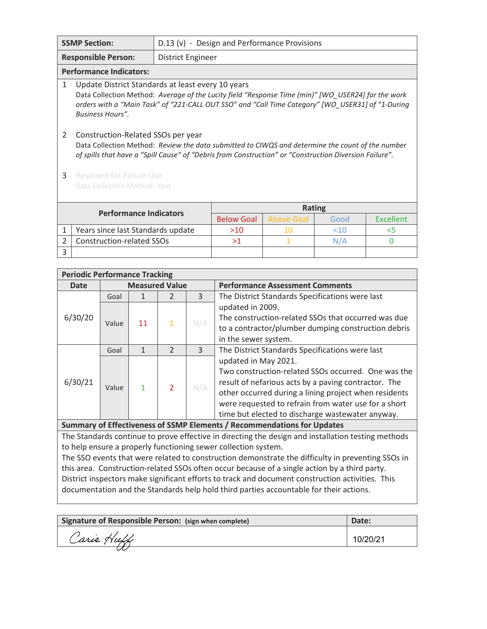| <b>SSMP Section:</b><br>D.13 (v) - Design and Performance Provisions                                                                                                                                                                                                                          |                                                                                                                                                                                                                                                  |  |                   |                   |      |                  |
|-----------------------------------------------------------------------------------------------------------------------------------------------------------------------------------------------------------------------------------------------------------------------------------------------|--------------------------------------------------------------------------------------------------------------------------------------------------------------------------------------------------------------------------------------------------|--|-------------------|-------------------|------|------------------|
| <b>Responsible Person:</b><br><b>District Engineer</b>                                                                                                                                                                                                                                        |                                                                                                                                                                                                                                                  |  |                   |                   |      |                  |
|                                                                                                                                                                                                                                                                                               | <b>Performance Indicators:</b>                                                                                                                                                                                                                   |  |                   |                   |      |                  |
| 1<br>Update District Standards at least every 10 years<br>Data Collection Method: Average of the Lucity field "Response Time (min)" [WO_USER24] for the work<br>orders with a "Main Task" of "221-CALL OUT SSO" and "Call Time Category" [WO_USER31] of "1-During<br><b>Business Hours''.</b> |                                                                                                                                                                                                                                                  |  |                   |                   |      |                  |
| 2                                                                                                                                                                                                                                                                                             | Construction-Related SSOs per year<br>Data Collection Method: Review the data submitted to CIWQS and determine the count of the number<br>of spills that have a "Spill Cause" of "Debris from Construction" or "Construction Diversion Failure". |  |                   |                   |      |                  |
| 3                                                                                                                                                                                                                                                                                             | <b>Reserved for Future Use</b><br>Data Collection Method: text                                                                                                                                                                                   |  |                   |                   |      |                  |
|                                                                                                                                                                                                                                                                                               | <b>Performance Indicators</b>                                                                                                                                                                                                                    |  |                   | <b>Rating</b>     |      |                  |
|                                                                                                                                                                                                                                                                                               |                                                                                                                                                                                                                                                  |  | <b>Below Goal</b> | <b>Above Goal</b> | Good | <b>Excellent</b> |
| 1                                                                                                                                                                                                                                                                                             | Years since last Standards update                                                                                                                                                                                                                |  | $>10$             | 10                | <10  | $<$ 5            |
| 2                                                                                                                                                                                                                                                                                             | <b>Construction-related SSOs</b>                                                                                                                                                                                                                 |  | >1                | 1                 | N/A  | 0                |
| 3                                                                                                                                                                                                                                                                                             |                                                                                                                                                                                                                                                  |  |                   |                   |      |                  |

| <b>Periodic Performance Tracking</b> |       |                       |                |     |                                                                         |  |  |
|--------------------------------------|-------|-----------------------|----------------|-----|-------------------------------------------------------------------------|--|--|
| Date                                 |       | <b>Measured Value</b> |                |     | <b>Performance Assessment Comments</b>                                  |  |  |
|                                      | Goal  |                       | 2              | 3   | The District Standards Specifications were last                         |  |  |
|                                      |       |                       |                |     | updated in 2009.                                                        |  |  |
| 6/30/20                              | Value | 11                    | $\mathbf{1}$   | N/A | The construction-related SSOs that occurred was due                     |  |  |
|                                      |       |                       |                |     | to a contractor/plumber dumping construction debris                     |  |  |
|                                      |       |                       |                |     | in the sewer system.                                                    |  |  |
|                                      | Goal  |                       | $\mathcal{P}$  | 3   | The District Standards Specifications were last                         |  |  |
|                                      |       |                       | $\overline{2}$ |     | updated in May 2021.                                                    |  |  |
|                                      |       |                       |                | N/A | Two construction-related SSOs occurred. One was the                     |  |  |
| 6/30/21                              |       |                       |                |     | result of nefarious acts by a paving contractor. The                    |  |  |
|                                      | Value |                       |                |     | other occurred during a lining project when residents                   |  |  |
|                                      |       |                       |                |     | were requested to refrain from water use for a short                    |  |  |
|                                      |       |                       |                |     | time but elected to discharge wastewater anyway.                        |  |  |
|                                      |       |                       |                |     | Summary of Effectiveness of SSMP Elements / Recommendations for Updates |  |  |

The Standards continue to prove effective in directing the design and installation testing methods to help ensure a properly functioning sewer collection system.

The SSO events that were related to construction demonstrate the difficulty in preventing SSOs in this area. Construction-related SSOs often occur because of a single action by a third party. District inspectors make significant efforts to track and document construction activities. This documentation and the Standards help hold third parties accountable for their actions.

| Signature of Responsible Person: (sign when complete) | Date: |
|-------------------------------------------------------|-------|
| Carie Huff                                            |       |
|                                                       |       |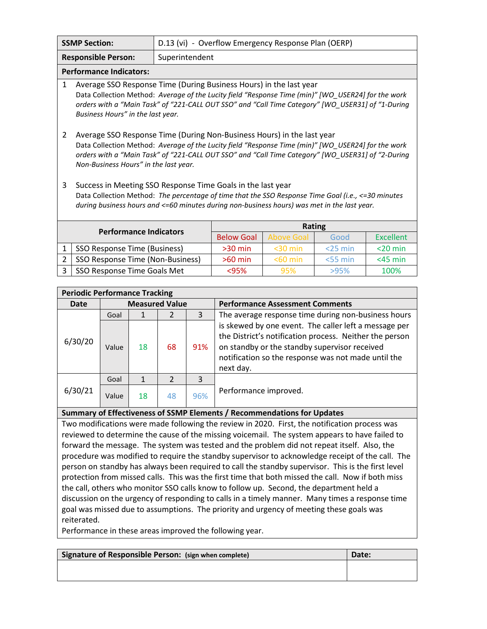|                                              | <b>SSMP Section:</b>                                                                                                                                                                                                                                                                                                       | D.13 (vi) - Overflow Emergency Response Plan (OERP) |                   |                   |            |                  |
|----------------------------------------------|----------------------------------------------------------------------------------------------------------------------------------------------------------------------------------------------------------------------------------------------------------------------------------------------------------------------------|-----------------------------------------------------|-------------------|-------------------|------------|------------------|
| Superintendent<br><b>Responsible Person:</b> |                                                                                                                                                                                                                                                                                                                            |                                                     |                   |                   |            |                  |
|                                              | <b>Performance Indicators:</b>                                                                                                                                                                                                                                                                                             |                                                     |                   |                   |            |                  |
| $\mathbf{1}$                                 | Average SSO Response Time (During Business Hours) in the last year<br>Data Collection Method: Average of the Lucity field "Response Time (min)" [WO USER24] for the work<br>orders with a "Main Task" of "221-CALL OUT SSO" and "Call Time Category" [WO_USER31] of "1-During<br>Business Hours" in the last year.         |                                                     |                   |                   |            |                  |
| 2                                            | Average SSO Response Time (During Non-Business Hours) in the last year<br>Data Collection Method: Average of the Lucity field "Response Time (min)" [WO USER24] for the work<br>orders with a "Main Task" of "221-CALL OUT SSO" and "Call Time Category" [WO_USER31] of "2-During<br>Non-Business Hours" in the last year. |                                                     |                   |                   |            |                  |
| 3                                            | Success in Meeting SSO Response Time Goals in the last year<br>Data Collection Method: The percentage of time that the SSO Response Time Goal (i.e., <= 30 minutes<br>during business hours and <=60 minutes during non-business hours) was met in the last year.                                                          |                                                     |                   |                   |            |                  |
| <b>Performance Indicators</b>                |                                                                                                                                                                                                                                                                                                                            |                                                     |                   |                   | Rating     |                  |
|                                              |                                                                                                                                                                                                                                                                                                                            |                                                     | <b>Below Goal</b> | <b>Above Goal</b> | Good       | <b>Excellent</b> |
| 1                                            | SSO Response Time (Business)                                                                                                                                                                                                                                                                                               |                                                     | $>30$ min         | $30 min$          | $<$ 25 min | $<$ 20 min       |
| 2                                            | SSO Response Time (Non-Business)                                                                                                                                                                                                                                                                                           |                                                     | $>60$ min         | $<$ 60 min        | $<$ 55 min | $<$ 45 min       |

|                                                                   | <b>Periodic Performance Tracking</b> |    |                       |     |                                                                                                                                                                                                                                       |  |  |  |
|-------------------------------------------------------------------|--------------------------------------|----|-----------------------|-----|---------------------------------------------------------------------------------------------------------------------------------------------------------------------------------------------------------------------------------------|--|--|--|
| <b>Date</b>                                                       |                                      |    | <b>Measured Value</b> |     | <b>Performance Assessment Comments</b>                                                                                                                                                                                                |  |  |  |
|                                                                   | Goal                                 |    |                       | 3   | The average response time during non-business hours                                                                                                                                                                                   |  |  |  |
| 6/30/20                                                           | Value                                | 18 | 68                    | 91% | is skewed by one event. The caller left a message per<br>the District's notification process. Neither the person<br>on standby or the standby supervisor received<br>notification so the response was not made until the<br>next day. |  |  |  |
| $\mathcal{P}$<br>3<br>Goal<br>6/30/21<br>96%<br>48<br>18<br>Value |                                      |    |                       |     |                                                                                                                                                                                                                                       |  |  |  |
|                                                                   |                                      |    |                       |     | Performance improved.                                                                                                                                                                                                                 |  |  |  |

3 SSO Response Time Goals Met | <95% | 95% | >95% | 100%

#### **Summary of Effectiveness of SSMP Elements / Recommendations for Updates**

Two modifications were made following the review in 2020. First, the notification process was reviewed to determine the cause of the missing voicemail. The system appears to have failed to forward the message. The system was tested and the problem did not repeat itself. Also, the procedure was modified to require the standby supervisor to acknowledge receipt of the call. The person on standby has always been required to call the standby supervisor. This is the first level protection from missed calls. This was the first time that both missed the call. Now if both miss the call, others who monitor SSO calls know to follow up. Second, the department held a discussion on the urgency of responding to calls in a timely manner. Many times a response time goal was missed due to assumptions. The priority and urgency of meeting these goals was reiterated.

Performance in these areas improved the following year.

| Signature of Responsible Person: (sign when complete) | Date: |
|-------------------------------------------------------|-------|
|                                                       |       |
|                                                       |       |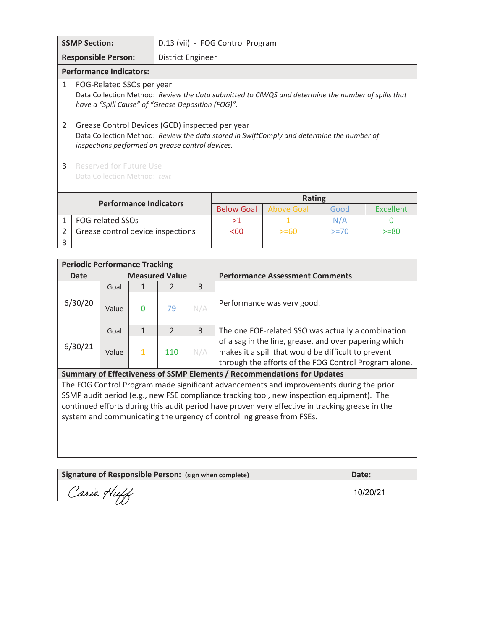| <b>SSMP Section:</b><br>D.13 (vii) - FOG Control Program |                                                                                                                                                                                                  |                   |                   |                   |        |                  |
|----------------------------------------------------------|--------------------------------------------------------------------------------------------------------------------------------------------------------------------------------------------------|-------------------|-------------------|-------------------|--------|------------------|
|                                                          | <b>Responsible Person:</b>                                                                                                                                                                       | District Engineer |                   |                   |        |                  |
|                                                          | <b>Performance Indicators:</b>                                                                                                                                                                   |                   |                   |                   |        |                  |
| 1                                                        | FOG-Related SSOs per year<br>Data Collection Method: Review the data submitted to CIWQS and determine the number of spills that<br>have a "Spill Cause" of "Grease Deposition (FOG)".            |                   |                   |                   |        |                  |
| 2                                                        | Grease Control Devices (GCD) inspected per year<br>Data Collection Method: Review the data stored in SwiftComply and determine the number of<br>inspections performed on grease control devices. |                   |                   |                   |        |                  |
| 3                                                        | Reserved for Future Use<br>Data Collection Method: text                                                                                                                                          |                   |                   |                   |        |                  |
|                                                          | <b>Performance Indicators</b>                                                                                                                                                                    |                   |                   | <b>Rating</b>     |        |                  |
|                                                          |                                                                                                                                                                                                  |                   | <b>Below Goal</b> | <b>Above Goal</b> | Good   | <b>Excellent</b> |
| 1                                                        | FOG-related SSOs                                                                                                                                                                                 |                   | >1                |                   | N/A    | O                |
| 2                                                        | Grease control device inspections                                                                                                                                                                |                   | < 60              | $>= 60$           | $>=70$ | $>= 80$          |
| 3                                                        |                                                                                                                                                                                                  |                   |                   |                   |        |                  |

| <b>Periodic Performance Tracking</b>                                                                                                                                                                                    |       |                       |                |     |                                                                                           |  |  |
|-------------------------------------------------------------------------------------------------------------------------------------------------------------------------------------------------------------------------|-------|-----------------------|----------------|-----|-------------------------------------------------------------------------------------------|--|--|
| <b>Date</b>                                                                                                                                                                                                             |       | <b>Measured Value</b> |                |     | <b>Performance Assessment Comments</b>                                                    |  |  |
|                                                                                                                                                                                                                         | Goal  |                       | $\mathcal{L}$  | 3   |                                                                                           |  |  |
| 6/30/20                                                                                                                                                                                                                 | Value | $\Omega$              | 79             | N/A | Performance was very good.                                                                |  |  |
|                                                                                                                                                                                                                         | Goal  | 1                     | $\overline{2}$ | 3   | The one FOF-related SSO was actually a combination                                        |  |  |
| of a sag in the line, grease, and over papering which<br>6/30/21<br>makes it a spill that would be difficult to prevent<br>110<br>N/A<br>$\mathbf{1}$<br>Value<br>through the efforts of the FOG Control Program alone. |       |                       |                |     |                                                                                           |  |  |
| Summary of Effectiveness of SSMP Elements / Recommendations for Updates                                                                                                                                                 |       |                       |                |     |                                                                                           |  |  |
| The FOG Control Program made significant advancements and improvements during the prior                                                                                                                                 |       |                       |                |     |                                                                                           |  |  |
|                                                                                                                                                                                                                         |       |                       |                |     | SSMP audit period (e.g., new FSE compliance tracking tool, new inspection equipment). The |  |  |

continued efforts during this audit period have proven very effective in tracking grease in the system and communicating the urgency of controlling grease from FSEs.

| Signature of Responsible Person: (sign when complete) | Date: |
|-------------------------------------------------------|-------|
| Carie Huff                                            |       |
|                                                       |       |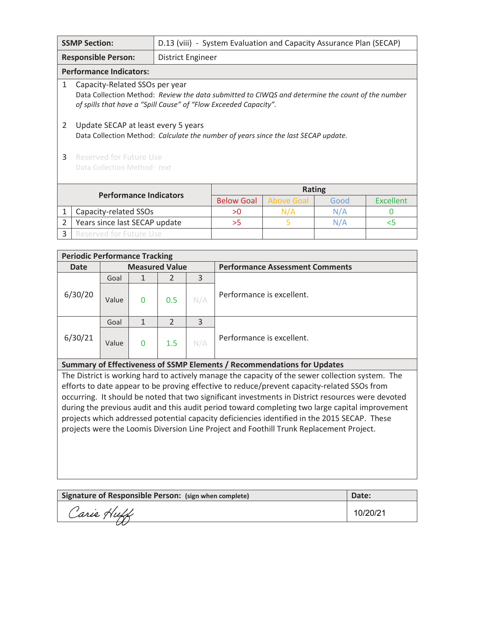| <b>SSMP Section:</b><br>D.13 (viii) - System Evaluation and Capacity Assurance Plan (SECAP) |                                                                                                                                                                                                        |                          |                   |                   |       |                  |
|---------------------------------------------------------------------------------------------|--------------------------------------------------------------------------------------------------------------------------------------------------------------------------------------------------------|--------------------------|-------------------|-------------------|-------|------------------|
|                                                                                             | <b>Responsible Person:</b>                                                                                                                                                                             | <b>District Engineer</b> |                   |                   |       |                  |
|                                                                                             | <b>Performance Indicators:</b>                                                                                                                                                                         |                          |                   |                   |       |                  |
| 1                                                                                           | Capacity-Related SSOs per year<br>Data Collection Method: Review the data submitted to CIWQS and determine the count of the number<br>of spills that have a "Spill Cause" of "Flow Exceeded Capacity". |                          |                   |                   |       |                  |
| 2                                                                                           | Update SECAP at least every 5 years<br>Data Collection Method: Calculate the number of years since the last SECAP update.                                                                              |                          |                   |                   |       |                  |
| 3                                                                                           | Reserved for Future Use                                                                                                                                                                                |                          |                   |                   |       |                  |
|                                                                                             | Data Collection Method: text                                                                                                                                                                           |                          |                   |                   |       |                  |
|                                                                                             |                                                                                                                                                                                                        |                          |                   |                   |       |                  |
|                                                                                             | <b>Performance Indicators</b>                                                                                                                                                                          |                          |                   | <b>Rating</b>     |       |                  |
|                                                                                             |                                                                                                                                                                                                        |                          | <b>Below Goal</b> | <b>Above Goal</b> | Good  | <b>Excellent</b> |
| 1                                                                                           | Capacity-related SSOs                                                                                                                                                                                  |                          | >0                | N/A               | N/A   | O                |
| $\overline{2}$                                                                              | Years since last SECAP update                                                                                                                                                                          | >5                       | 5.                | N/A               | $<$ 5 |                  |
| <b>Reserved for Future Use</b><br>3                                                         |                                                                                                                                                                                                        |                          |                   |                   |       |                  |

|             | <b>Periodic Performance Tracking</b> |                       |     |     |                                        |  |  |  |  |
|-------------|--------------------------------------|-----------------------|-----|-----|----------------------------------------|--|--|--|--|
| <b>Date</b> |                                      | <b>Measured Value</b> |     |     | <b>Performance Assessment Comments</b> |  |  |  |  |
|             | Goal                                 |                       |     | 3   |                                        |  |  |  |  |
| 6/30/20     | Value                                | $\mathbf{0}$          | 0.5 | N/A | Performance is excellent.              |  |  |  |  |
|             | Goal                                 |                       | 2   | 3   |                                        |  |  |  |  |
| 6/30/21     | Value                                | 0                     | 1.5 | N/A | Performance is excellent.              |  |  |  |  |

#### **Summary of Effectiveness of SSMP Elements / Recommendations for Updates**

The District is working hard to actively manage the capacity of the sewer collection system. The efforts to date appear to be proving effective to reduce/prevent capacity-related SSOs from occurring. It should be noted that two significant investments in District resources were devoted during the previous audit and this audit period toward completing two large capital improvement projects which addressed potential capacity deficiencies identified in the 2015 SECAP. These projects were the Loomis Diversion Line Project and Foothill Trunk Replacement Project.

| Signature of Responsible Person: (sign when complete) | Date:    |
|-------------------------------------------------------|----------|
| Carie Huff                                            | 10/20/21 |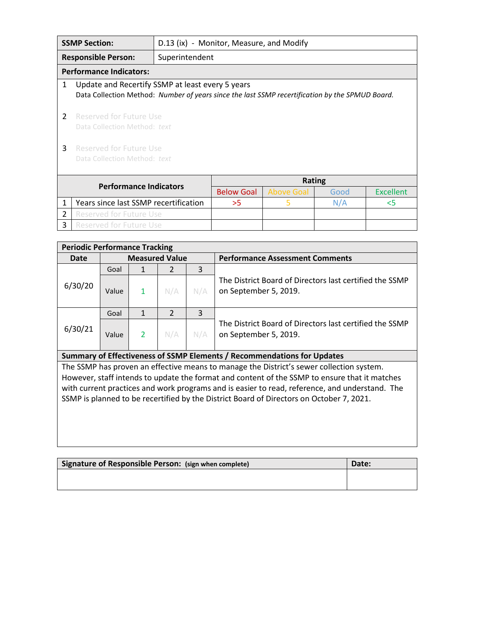|                               | <b>SSMP Section:</b>                                                                                                                                |                | D.13 (ix) - Monitor, Measure, and Modify |                   |      |                  |  |
|-------------------------------|-----------------------------------------------------------------------------------------------------------------------------------------------------|----------------|------------------------------------------|-------------------|------|------------------|--|
|                               | <b>Responsible Person:</b>                                                                                                                          | Superintendent |                                          |                   |      |                  |  |
|                               | <b>Performance Indicators:</b>                                                                                                                      |                |                                          |                   |      |                  |  |
| 1                             | Update and Recertify SSMP at least every 5 years<br>Data Collection Method: Number of years since the last SSMP recertification by the SPMUD Board. |                |                                          |                   |      |                  |  |
| 2                             | Reserved for Future Use<br>Data Collection Method: text                                                                                             |                |                                          |                   |      |                  |  |
| 3                             | Reserved for Future Use<br>Data Collection Method: text                                                                                             |                |                                          |                   |      |                  |  |
| <b>Performance Indicators</b> |                                                                                                                                                     |                | <b>Rating</b>                            |                   |      |                  |  |
|                               |                                                                                                                                                     |                | <b>Below Goal</b>                        | <b>Above Goal</b> | Good | <b>Excellent</b> |  |
| 1                             | Years since last SSMP recertification                                                                                                               |                | >5                                       | 5                 | N/A  | 5<               |  |
| $\mathcal{P}$                 | Reserved for Future Use                                                                                                                             |                |                                          |                   |      |                  |  |
| 3                             | <b>Reserved for Future Use</b>                                                                                                                      |                |                                          |                   |      |                  |  |

| <b>Periodic Performance Tracking</b> |                       |              |     |     |                                                                                  |  |  |
|--------------------------------------|-----------------------|--------------|-----|-----|----------------------------------------------------------------------------------|--|--|
| Date                                 | <b>Measured Value</b> |              |     |     | <b>Performance Assessment Comments</b>                                           |  |  |
|                                      | Goal                  |              |     | 3   |                                                                                  |  |  |
| 6/30/20                              | Value                 | $\mathbf{1}$ | N/A | N/A | The District Board of Directors last certified the SSMP<br>on September 5, 2019. |  |  |
|                                      | Goal                  |              |     | 3   |                                                                                  |  |  |
| 6/30/21                              | Value                 |              | N/A | N/A | The District Board of Directors last certified the SSMP<br>on September 5, 2019. |  |  |

### **Summary of Effectiveness of SSMP Elements / Recommendations for Updates**

The SSMP has proven an effective means to manage the District's sewer collection system. However, staff intends to update the format and content of the SSMP to ensure that it matches with current practices and work programs and is easier to read, reference, and understand. The SSMP is planned to be recertified by the District Board of Directors on October 7, 2021.

| Signature of Responsible Person: (sign when complete) | Date: |
|-------------------------------------------------------|-------|
|                                                       |       |
|                                                       |       |